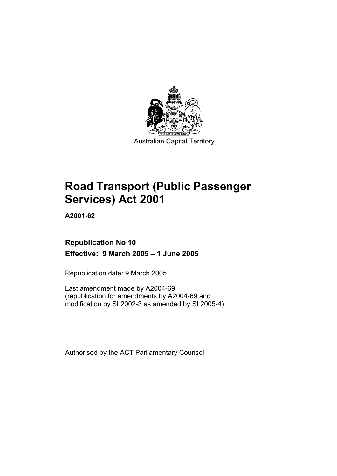

Australian Capital Territory

# **Road Transport (Public Passenger Services) Act 2001**

**A2001-62** 

# **Republication No 10 Effective: 9 March 2005 – 1 June 2005**

Republication date: 9 March 2005

Last amendment made by A2004-69 (republication for amendments by A2004-69 and modification by SL2002-3 as amended by SL2005-4)

Authorised by the ACT Parliamentary Counsel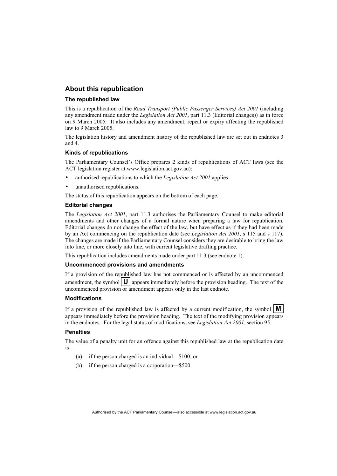#### **About this republication**

#### **The republished law**

This is a republication of the *Road Transport (Public Passenger Services) Act 2001* (including any amendment made under the *Legislation Act 2001*, part 11.3 (Editorial changes)) as in force on 9 March 2005*.* It also includes any amendment, repeal or expiry affecting the republished law to 9 March 2005.

The legislation history and amendment history of the republished law are set out in endnotes 3 and 4.

#### **Kinds of republications**

The Parliamentary Counsel's Office prepares 2 kinds of republications of ACT laws (see the ACT legislation register at www.legislation.act.gov.au):

- authorised republications to which the *Legislation Act 2001* applies
- unauthorised republications.

The status of this republication appears on the bottom of each page.

#### **Editorial changes**

The *Legislation Act 2001*, part 11.3 authorises the Parliamentary Counsel to make editorial amendments and other changes of a formal nature when preparing a law for republication. Editorial changes do not change the effect of the law, but have effect as if they had been made by an Act commencing on the republication date (see *Legislation Act 2001*, s 115 and s 117). The changes are made if the Parliamentary Counsel considers they are desirable to bring the law into line, or more closely into line, with current legislative drafting practice.

This republication includes amendments made under part 11.3 (see endnote 1).

#### **Uncommenced provisions and amendments**

If a provision of the republished law has not commenced or is affected by an uncommenced amendment, the symbol  $\mathbf{U}$  appears immediately before the provision heading. The text of the uncommenced provision or amendment appears only in the last endnote.

#### **Modifications**

If a provision of the republished law is affected by a current modification, the symbol  $\mathbf{M}$ appears immediately before the provision heading. The text of the modifying provision appears in the endnotes. For the legal status of modifications, see *Legislation Act 2001*, section 95.

#### **Penalties**

The value of a penalty unit for an offence against this republished law at the republication date is—

- (a) if the person charged is an individual—\$100; or
- (b) if the person charged is a corporation—\$500.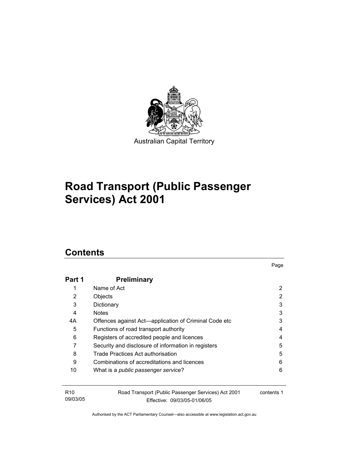

# **Road Transport (Public Passenger Services) Act 2001**

# **Contents**

| Part 1          | <b>Preliminary</b>                                    |            |
|-----------------|-------------------------------------------------------|------------|
| 1               | Name of Act                                           | 2          |
| 2               | Objects                                               | 2          |
| 3               | Dictionary                                            | 3          |
| 4               | <b>Notes</b>                                          | 3          |
| 4А              | Offences against Act-application of Criminal Code etc | 3          |
| 5               | Functions of road transport authority                 | 4          |
| 6               | Registers of accredited people and licences           | 4          |
| 7               | Security and disclosure of information in registers   | 5          |
| 8               | Trade Practices Act authorisation                     | 5          |
| 9               | Combinations of accreditations and licences           | 6          |
| 10              | What is a <i>public passenger service</i> ?           | 6          |
|                 |                                                       |            |
| R <sub>10</sub> | Road Transport (Public Passenger Services) Act 2001   | contents 1 |
| 09/03/05        | Fffective: 09/03/05-01/06/05                          |            |

Page

Authorised by the ACT Parliamentary Counsel—also accessible at www.legislation.act.gov.au

Effective: 09/03/05-01/06/05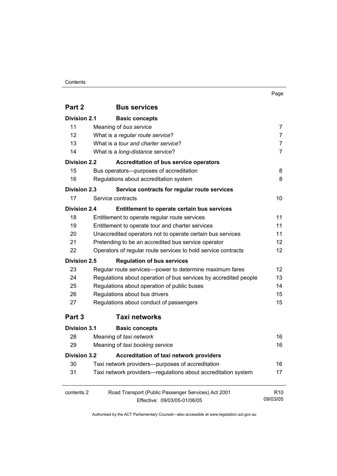#### Contents

|--|

| Part 2              | <b>Bus services</b>                                                   |                 |  |  |
|---------------------|-----------------------------------------------------------------------|-----------------|--|--|
| <b>Division 2.1</b> | <b>Basic concepts</b>                                                 |                 |  |  |
| 11                  | Meaning of bus service                                                | 7               |  |  |
| 12                  | What is a regular route service?                                      | 7               |  |  |
| 13                  | What is a tour and charter service?                                   | 7               |  |  |
| 14                  | What is a long-distance service?                                      | 7               |  |  |
| <b>Division 2.2</b> | <b>Accreditation of bus service operators</b>                         |                 |  |  |
| 15                  | Bus operators---purposes of accreditation                             | 8               |  |  |
| 16                  | Regulations about accreditation system                                |                 |  |  |
| <b>Division 2.3</b> | Service contracts for regular route services                          |                 |  |  |
| 17                  | Service contracts                                                     | 10              |  |  |
| <b>Division 2.4</b> | Entitlement to operate certain bus services                           |                 |  |  |
| 18                  | Entitlement to operate regular route services                         | 11              |  |  |
| 19                  | Entitlement to operate tour and charter services                      | 11              |  |  |
| 20                  | 11<br>Unaccredited operators not to operate certain bus services      |                 |  |  |
| 21                  | Pretending to be an accredited bus service operator                   |                 |  |  |
| 22                  | Operators of regular route services to hold service contracts         |                 |  |  |
| <b>Division 2.5</b> | <b>Regulation of bus services</b>                                     |                 |  |  |
| 23                  | Regular route services-power to determine maximum fares               | 12              |  |  |
| 24                  | Regulations about operation of bus services by accredited people      | 13              |  |  |
| 25                  | Regulations about operation of public buses                           | 14              |  |  |
| 26                  | Regulations about bus drivers                                         |                 |  |  |
| 27                  | Regulations about conduct of passengers                               |                 |  |  |
| Part 3              | <b>Taxi networks</b>                                                  |                 |  |  |
| <b>Division 3.1</b> | <b>Basic concepts</b>                                                 |                 |  |  |
| 28                  | Meaning of taxi network                                               | 16              |  |  |
| 29                  | Meaning of taxi booking service                                       | 16              |  |  |
|                     | <b>Accreditation of taxi network providers</b><br><b>Division 3.2</b> |                 |  |  |
| 30                  | Taxi network providers—purposes of accreditation                      | 16              |  |  |
| 31                  | Taxi network providers—regulations about accreditation system         | 17              |  |  |
| contents 2          | Road Transport (Public Passenger Services) Act 2001                   | R <sub>10</sub> |  |  |
|                     | Effective: 09/03/05-01/06/05                                          | 09/03/05        |  |  |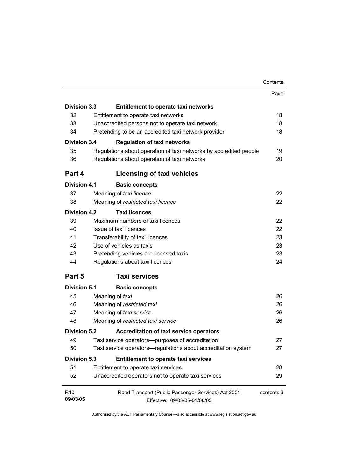|                             |                                                                                     | Contents   |
|-----------------------------|-------------------------------------------------------------------------------------|------------|
|                             |                                                                                     | Page       |
| <b>Division 3.3</b>         | <b>Entitlement to operate taxi networks</b>                                         |            |
| 32                          | Entitlement to operate taxi networks                                                | 18         |
| 33                          | Unaccredited persons not to operate taxi network                                    | 18         |
| 34                          | Pretending to be an accredited taxi network provider                                | 18         |
| <b>Division 3.4</b>         | <b>Regulation of taxi networks</b>                                                  |            |
| 35                          | Regulations about operation of taxi networks by accredited people                   | 19         |
| 36                          | Regulations about operation of taxi networks                                        | 20         |
| Part 4                      | Licensing of taxi vehicles                                                          |            |
| <b>Division 4.1</b>         | <b>Basic concepts</b>                                                               |            |
| 37                          | Meaning of taxi licence                                                             | 22         |
| 38                          | Meaning of restricted taxi licence                                                  | 22         |
| <b>Division 4.2</b>         | <b>Taxi licences</b>                                                                |            |
| 39                          | Maximum numbers of taxi licences                                                    | 22         |
| 40                          | Issue of taxi licences                                                              | 22         |
| 41                          | Transferability of taxi licences                                                    | 23         |
| 42                          | Use of vehicles as taxis                                                            | 23         |
| 43                          | Pretending vehicles are licensed taxis                                              | 23         |
| 44                          | Regulations about taxi licences                                                     | 24         |
| Part 5                      | <b>Taxi services</b>                                                                |            |
| <b>Division 5.1</b>         | <b>Basic concepts</b>                                                               |            |
| 45                          | Meaning of taxi                                                                     | 26         |
| 46                          | Meaning of restricted taxi                                                          | 26         |
| 47                          | Meaning of taxi service                                                             | 26         |
| 48                          | Meaning of restricted taxi service                                                  | 26         |
| <b>Division 5.2</b>         | <b>Accreditation of taxi service operators</b>                                      |            |
| 49                          | Taxi service operators--purposes of accreditation                                   | 27         |
| 50                          | Taxi service operators—regulations about accreditation system                       | 27         |
| <b>Division 5.3</b>         | <b>Entitlement to operate taxi services</b>                                         |            |
| 51                          | Entitlement to operate taxi services                                                | 28         |
| 52                          | Unaccredited operators not to operate taxi services                                 | 29         |
| R <sub>10</sub><br>09/03/05 | Road Transport (Public Passenger Services) Act 2001<br>Effective: 09/03/05-01/06/05 | contents 3 |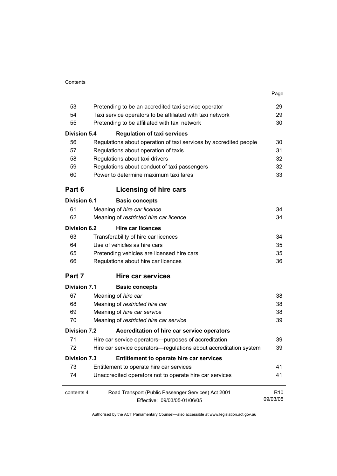|                     |                                                                   | Page            |
|---------------------|-------------------------------------------------------------------|-----------------|
| 53                  | Pretending to be an accredited taxi service operator              | 29              |
| 54                  | Taxi service operators to be affiliated with taxi network         | 29              |
| 55                  | Pretending to be affiliated with taxi network                     | 30              |
| <b>Division 5.4</b> | <b>Regulation of taxi services</b>                                |                 |
| 56                  | Regulations about operation of taxi services by accredited people | 30              |
| 57                  | Regulations about operation of taxis                              | 31              |
| 58                  | Regulations about taxi drivers                                    | 32              |
| 59                  | Regulations about conduct of taxi passengers                      | 32              |
| 60                  | Power to determine maximum taxi fares                             | 33              |
| Part 6              | Licensing of hire cars                                            |                 |
| <b>Division 6.1</b> | <b>Basic concepts</b>                                             |                 |
| 61                  | Meaning of hire car licence                                       | 34              |
| 62                  | Meaning of restricted hire car licence                            | 34              |
| <b>Division 6.2</b> | <b>Hire car licences</b>                                          |                 |
| 63                  | Transferability of hire car licences                              | 34              |
| 64                  | Use of vehicles as hire cars                                      | 35              |
| 65                  | Pretending vehicles are licensed hire cars                        | 35              |
| 66                  | Regulations about hire car licences                               | 36              |
| Part 7              | Hire car services                                                 |                 |
| <b>Division 7.1</b> | <b>Basic concepts</b>                                             |                 |
| 67                  | Meaning of hire car                                               | 38              |
| 68                  | Meaning of restricted hire car                                    | 38              |
| 69                  | Meaning of hire car service                                       | 38              |
| 70                  | Meaning of restricted hire car service                            | 39              |
| <b>Division 7.2</b> | Accreditation of hire car service operators                       |                 |
| 71                  | Hire car service operators—purposes of accreditation              | 39              |
| 72                  | Hire car service operators-regulations about accreditation system | 39              |
| <b>Division 7.3</b> | Entitlement to operate hire car services                          |                 |
| 73                  | Entitlement to operate hire car services                          | 41              |
| 74                  | Unaccredited operators not to operate hire car services           | 41              |
| contents 4          | Road Transport (Public Passenger Services) Act 2001               | R <sub>10</sub> |
|                     | Effective: 09/03/05-01/06/05                                      | 09/03/05        |

Effective: 09/03/05-01/06/05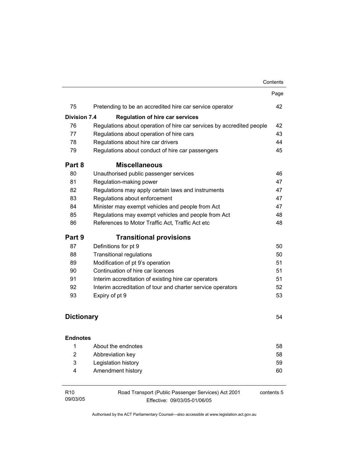|                     |                                                                       | Contents   |
|---------------------|-----------------------------------------------------------------------|------------|
|                     |                                                                       | Page       |
| 75                  | Pretending to be an accredited hire car service operator              | 42         |
| <b>Division 7.4</b> | <b>Regulation of hire car services</b>                                |            |
| 76                  | Regulations about operation of hire car services by accredited people | 42         |
| 77                  | Regulations about operation of hire cars                              | 43         |
| 78                  | Regulations about hire car drivers                                    | 44         |
| 79                  | Regulations about conduct of hire car passengers                      | 45         |
| Part 8              | <b>Miscellaneous</b>                                                  |            |
| 80                  | Unauthorised public passenger services                                | 46         |
| 81                  | Regulation-making power                                               | 47         |
| 82                  | Regulations may apply certain laws and instruments                    | 47         |
| 83                  | Regulations about enforcement                                         | 47         |
| 84                  | Minister may exempt vehicles and people from Act                      | 47         |
| 85                  | Regulations may exempt vehicles and people from Act                   | 48         |
| 86                  | References to Motor Traffic Act, Traffic Act etc                      | 48         |
| Part 9              | <b>Transitional provisions</b>                                        |            |
| 87                  | Definitions for pt 9                                                  | 50         |
| 88                  | <b>Transitional regulations</b>                                       | 50         |
| 89                  | Modification of pt 9's operation                                      | 51         |
| 90                  | Continuation of hire car licences                                     | 51         |
| 91                  | Interim accreditation of existing hire car operators                  | 51         |
| 92                  | Interim accreditation of tour and charter service operators           | 52         |
| 93                  | Expiry of pt 9                                                        | 53         |
| <b>Dictionary</b>   |                                                                       | 54         |
| <b>Endnotes</b>     |                                                                       |            |
| 1                   | About the endnotes                                                    | 58         |
| 2                   | Abbreviation key                                                      | 58         |
| 3                   | Legislation history                                                   | 59         |
| 4                   | Amendment history                                                     | 60         |
| R <sub>10</sub>     | Road Transport (Public Passenger Services) Act 2001                   | contents 5 |
| 09/03/05            | Effective: 09/03/05-01/06/05                                          |            |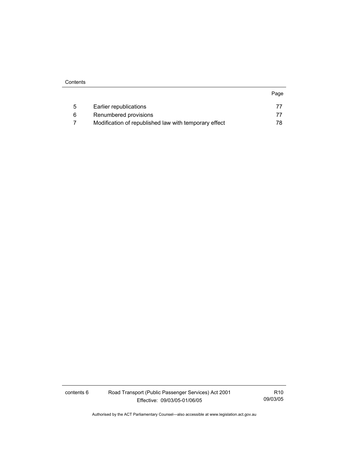| 5 | Earlier republications                                |     |
|---|-------------------------------------------------------|-----|
| 6 | Renumbered provisions                                 |     |
|   | Modification of republished law with temporary effect | 78. |

contents 6 Road Transport (Public Passenger Services) Act 2001 Effective: 09/03/05-01/06/05

R10 09/03/05

Page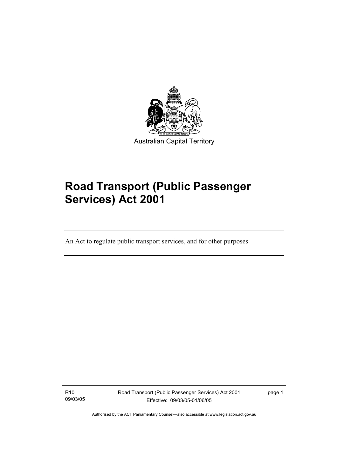

# **Road Transport (Public Passenger Services) Act 2001**

An Act to regulate public transport services, and for other purposes

R10 09/03/05

I

Road Transport (Public Passenger Services) Act 2001 Effective: 09/03/05-01/06/05

page 1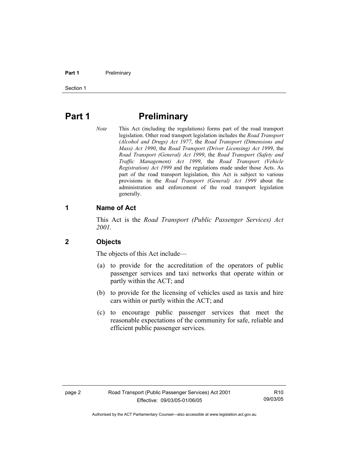#### **Part 1** Preliminary

Section 1

# **Part 1** Preliminary

*Note* This Act (including the regulations) forms part of the road transport legislation. Other road transport legislation includes the *Road Transport (Alcohol and Drugs) Act 1977*, the *Road Transport (Dimensions and Mass) Act 1990*, the *Road Transport (Driver Licensing) Act 1999*, the *Road Transport (General) Act 1999*, the *Road Transport (Safety and Traffic Management) Act 1999*, the *Road Transport (Vehicle Registration) Act 1999* and the regulations made under those Acts. As part of the road transport legislation, this Act is subject to various provisions in the *Road Transport (General) Act 1999* about the administration and enforcement of the road transport legislation generally.

#### **1 Name of Act**

This Act is the *Road Transport (Public Passenger Services) Act 2001.* 

#### **2 Objects**

The objects of this Act include—

- (a) to provide for the accreditation of the operators of public passenger services and taxi networks that operate within or partly within the ACT; and
- (b) to provide for the licensing of vehicles used as taxis and hire cars within or partly within the ACT; and
- (c) to encourage public passenger services that meet the reasonable expectations of the community for safe, reliable and efficient public passenger services.

R10 09/03/05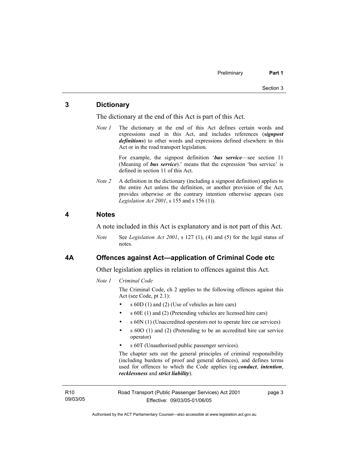#### **3 Dictionary**

The dictionary at the end of this Act is part of this Act.

*Note 1* The dictionary at the end of this Act defines certain words and expressions used in this Act, and includes references (*signpost definitions*) to other words and expressions defined elsewhere in this Act or in the road transport legislation.

> For example, the signpost definition '*bus service*—see section 11 (Meaning of *bus service*).' means that the expression 'bus service' is defined in section 11 of this Act.

*Note 2* A definition in the dictionary (including a signpost definition) applies to the entire Act unless the definition, or another provision of the Act, provides otherwise or the contrary intention otherwise appears (see *Legislation Act 2001*, s 155 and s 156 (1)).

#### **4 Notes**

A note included in this Act is explanatory and is not part of this Act.

*Note* See *Legislation Act 2001*, s 127 (1), (4) and (5) for the legal status of notes.

#### **4A Offences against Act—application of Criminal Code etc**

Other legislation applies in relation to offences against this Act.

*Note 1 Criminal Code* 

The Criminal Code, ch 2 applies to the following offences against this Act (see Code, pt 2.1):

- s 60D (1) and (2) (Use of vehicles as hire cars)
- s 60E (1) and (2) (Pretending vehicles are licensed hire cars)
- s 60N (1) (Unaccredited operators not to operate hire car services)
- s 60O (1) and (2) (Pretending to be an accredited hire car service operator)
- s 60T (Unauthorised public passenger services).

The chapter sets out the general principles of criminal responsibility (including burdens of proof and general defences), and defines terms used for offences to which the Code applies (eg *conduct*, *intention*, *recklessness* and *strict liability*).

R10 09/03/05 Road Transport (Public Passenger Services) Act 2001 Effective: 09/03/05-01/06/05

page 3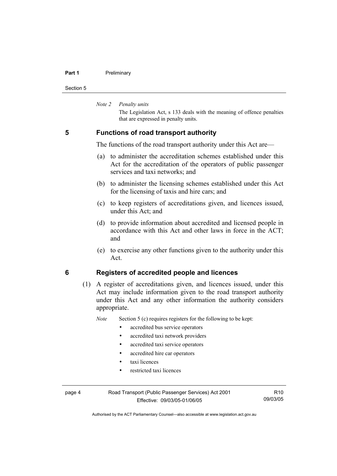#### **Part 1** Preliminary

Section 5

*Note 2 Penalty units* 

The Legislation Act, s 133 deals with the meaning of offence penalties that are expressed in penalty units.

#### **5 Functions of road transport authority**

The functions of the road transport authority under this Act are—

- (a) to administer the accreditation schemes established under this Act for the accreditation of the operators of public passenger services and taxi networks; and
- (b) to administer the licensing schemes established under this Act for the licensing of taxis and hire cars; and
- (c) to keep registers of accreditations given, and licences issued, under this Act; and
- (d) to provide information about accredited and licensed people in accordance with this Act and other laws in force in the ACT; and
- (e) to exercise any other functions given to the authority under this Act.

#### **6 Registers of accredited people and licences**

 (1) A register of accreditations given, and licences issued, under this Act may include information given to the road transport authority under this Act and any other information the authority considers appropriate.

*Note* Section 5 (c) requires registers for the following to be kept:

- accredited bus service operators
- accredited taxi network providers
- accredited taxi service operators
- accredited hire car operators
- taxi licences
- restricted taxi licences

page 4 Road Transport (Public Passenger Services) Act 2001 Effective: 09/03/05-01/06/05

R10 09/03/05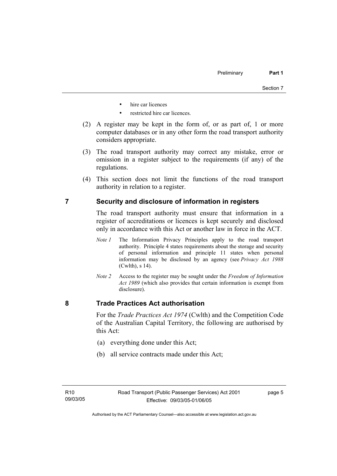- hire car licences
- restricted hire car licences.
- (2) A register may be kept in the form of, or as part of, 1 or more computer databases or in any other form the road transport authority considers appropriate.
- (3) The road transport authority may correct any mistake, error or omission in a register subject to the requirements (if any) of the regulations.
- (4) This section does not limit the functions of the road transport authority in relation to a register.

#### **7 Security and disclosure of information in registers**

The road transport authority must ensure that information in a register of accreditations or licences is kept securely and disclosed only in accordance with this Act or another law in force in the ACT.

- *Note 1* The Information Privacy Principles apply to the road transport authority. Principle 4 states requirements about the storage and security of personal information and principle 11 states when personal information may be disclosed by an agency (see *Privacy Act 1988* (Cwlth), s 14).
- *Note 2* Access to the register may be sought under the *Freedom of Information Act 1989* (which also provides that certain information is exempt from disclosure).

#### **8 Trade Practices Act authorisation**

For the *Trade Practices Act 1974* (Cwlth) and the Competition Code of the Australian Capital Territory, the following are authorised by this Act:

- (a) everything done under this Act;
- (b) all service contracts made under this Act;

page 5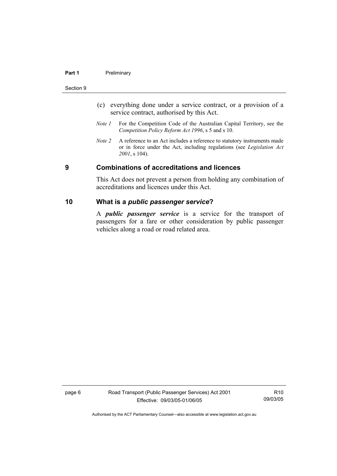#### **Part 1** Preliminary

#### Section 9

- (c) everything done under a service contract, or a provision of a service contract, authorised by this Act.
- *Note 1* For the Competition Code of the Australian Capital Territory, see the *Competition Policy Reform Act 1996*, s 5 and s 10.
- *Note 2* A reference to an Act includes a reference to statutory instruments made or in force under the Act, including regulations (see *Legislation Act 2001*, s 104).

#### **9 Combinations of accreditations and licences**

This Act does not prevent a person from holding any combination of accreditations and licences under this Act.

#### **10 What is a** *public passenger service***?**

A *public passenger service* is a service for the transport of passengers for a fare or other consideration by public passenger vehicles along a road or road related area.

page 6 Road Transport (Public Passenger Services) Act 2001 Effective: 09/03/05-01/06/05

R10 09/03/05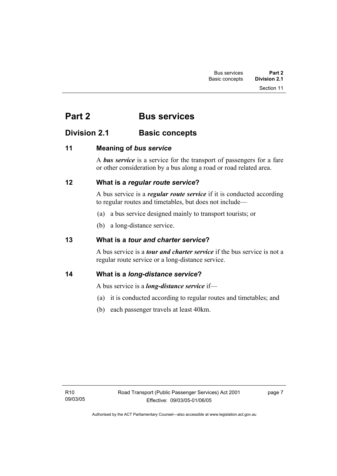# **Part 2 Bus services**

# **Division 2.1 Basic concepts**

### **11 Meaning of** *bus service*

A *bus service* is a service for the transport of passengers for a fare or other consideration by a bus along a road or road related area.

### **12 What is a** *regular route service***?**

A bus service is a *regular route service* if it is conducted according to regular routes and timetables, but does not include—

- (a) a bus service designed mainly to transport tourists; or
- (b) a long-distance service.

### **13 What is a** *tour and charter service***?**

A bus service is a *tour and charter service* if the bus service is not a regular route service or a long-distance service.

# **14 What is a** *long-distance service***?**

A bus service is a *long-distance service* if—

- (a) it is conducted according to regular routes and timetables; and
- (b) each passenger travels at least 40km.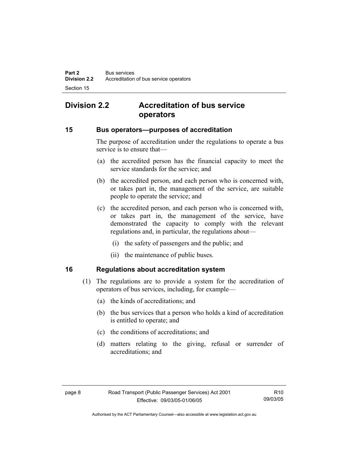# **Division 2.2 Accreditation of bus service operators**

#### **15 Bus operators—purposes of accreditation**

The purpose of accreditation under the regulations to operate a bus service is to ensure that—

- (a) the accredited person has the financial capacity to meet the service standards for the service; and
- (b) the accredited person, and each person who is concerned with, or takes part in, the management of the service, are suitable people to operate the service; and
- (c) the accredited person, and each person who is concerned with, or takes part in, the management of the service, have demonstrated the capacity to comply with the relevant regulations and, in particular, the regulations about—
	- (i) the safety of passengers and the public; and
	- (ii) the maintenance of public buses.

#### **16 Regulations about accreditation system**

- (1) The regulations are to provide a system for the accreditation of operators of bus services, including, for example—
	- (a) the kinds of accreditations; and
	- (b) the bus services that a person who holds a kind of accreditation is entitled to operate; and
	- (c) the conditions of accreditations; and
	- (d) matters relating to the giving, refusal or surrender of accreditations; and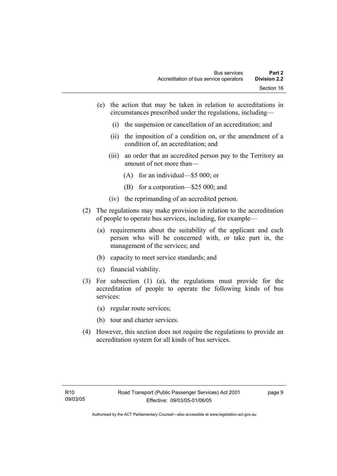- (e) the action that may be taken in relation to accreditations in circumstances prescribed under the regulations, including—
	- (i) the suspension or cancellation of an accreditation; and
	- (ii) the imposition of a condition on, or the amendment of a condition of, an accreditation; and
	- (iii) an order that an accredited person pay to the Territory an amount of not more than—
		- (A) for an individual—\$5 000; or
		- (B) for a corporation—\$25 000; and
	- (iv) the reprimanding of an accredited person.
- (2) The regulations may make provision in relation to the accreditation of people to operate bus services, including, for example—
	- (a) requirements about the suitability of the applicant and each person who will be concerned with, or take part in, the management of the services; and
	- (b) capacity to meet service standards; and
	- (c) financial viability.
- (3) For subsection (1) (a), the regulations must provide for the accreditation of people to operate the following kinds of bus services:
	- (a) regular route services;
	- (b) tour and charter services.
- (4) However, this section does not require the regulations to provide an accreditation system for all kinds of bus services.

page 9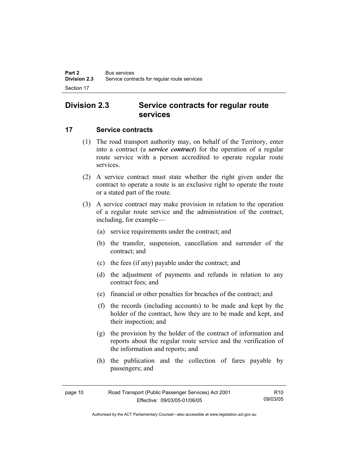# **Division 2.3 Service contracts for regular route services**

#### **17 Service contracts**

- (1) The road transport authority may, on behalf of the Territory, enter into a contract (a *service contract*) for the operation of a regular route service with a person accredited to operate regular route services.
- (2) A service contract must state whether the right given under the contract to operate a route is an exclusive right to operate the route or a stated part of the route.
- (3) A service contract may make provision in relation to the operation of a regular route service and the administration of the contract, including, for example—
	- (a) service requirements under the contract; and
	- (b) the transfer, suspension, cancellation and surrender of the contract; and
	- (c) the fees (if any) payable under the contract; and
	- (d) the adjustment of payments and refunds in relation to any contract fees; and
	- (e) financial or other penalties for breaches of the contract; and
	- (f) the records (including accounts) to be made and kept by the holder of the contract, how they are to be made and kept, and their inspection; and
	- (g) the provision by the holder of the contract of information and reports about the regular route service and the verification of the information and reports; and
	- (h) the publication and the collection of fares payable by passengers; and

| page 10 | Road Transport (Public Passenger Services) Act 2001 | R <sub>10</sub> |
|---------|-----------------------------------------------------|-----------------|
|         | Effective: 09/03/05-01/06/05                        | 09/03/05        |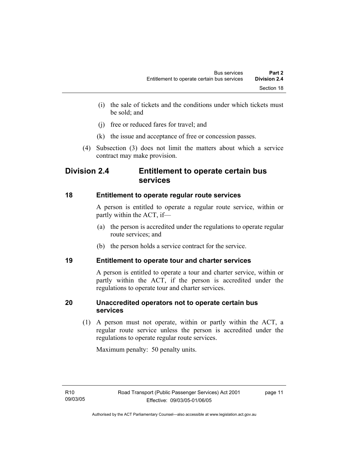- (i) the sale of tickets and the conditions under which tickets must be sold; and
- (j) free or reduced fares for travel; and
- (k) the issue and acceptance of free or concession passes.
- (4) Subsection (3) does not limit the matters about which a service contract may make provision.

# **Division 2.4 Entitlement to operate certain bus services**

### **18 Entitlement to operate regular route services**

A person is entitled to operate a regular route service, within or partly within the ACT, if—

- (a) the person is accredited under the regulations to operate regular route services; and
- (b) the person holds a service contract for the service.

### **19 Entitlement to operate tour and charter services**

A person is entitled to operate a tour and charter service, within or partly within the ACT, if the person is accredited under the regulations to operate tour and charter services.

### **20 Unaccredited operators not to operate certain bus services**

 (1) A person must not operate, within or partly within the ACT, a regular route service unless the person is accredited under the regulations to operate regular route services.

Maximum penalty: 50 penalty units.

page 11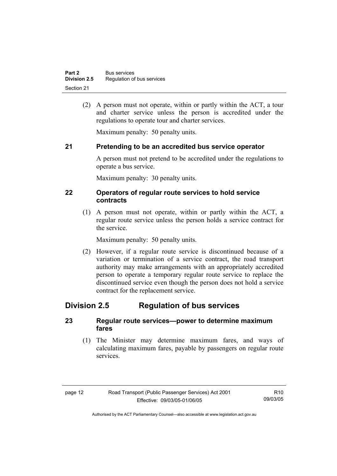(2) A person must not operate, within or partly within the ACT, a tour and charter service unless the person is accredited under the regulations to operate tour and charter services.

Maximum penalty: 50 penalty units.

### **21 Pretending to be an accredited bus service operator**

A person must not pretend to be accredited under the regulations to operate a bus service.

Maximum penalty: 30 penalty units.

#### **22 Operators of regular route services to hold service contracts**

 (1) A person must not operate, within or partly within the ACT, a regular route service unless the person holds a service contract for the service.

Maximum penalty: 50 penalty units.

 (2) However, if a regular route service is discontinued because of a variation or termination of a service contract, the road transport authority may make arrangements with an appropriately accredited person to operate a temporary regular route service to replace the discontinued service even though the person does not hold a service contract for the replacement service.

# **Division 2.5 Regulation of bus services**

#### **23 Regular route services—power to determine maximum fares**

 (1) The Minister may determine maximum fares, and ways of calculating maximum fares, payable by passengers on regular route services.

| r<br>œ |  |
|--------|--|
|--------|--|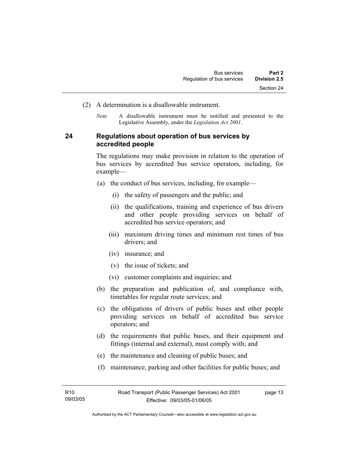- (2) A determination is a disallowable instrument.
	- *Note* A disallowable instrument must be notified and presented to the Legislative Assembly, under the *Legislation Act 2001*.

#### **24 Regulations about operation of bus services by accredited people**

The regulations may make provision in relation to the operation of bus services by accredited bus service operators, including, for example—

- (a) the conduct of bus services, including, for example—
	- (i) the safety of passengers and the public; and
	- (ii) the qualifications, training and experience of bus drivers and other people providing services on behalf of accredited bus service operators; and
	- (iii) maximum driving times and minimum rest times of bus drivers; and
	- (iv) insurance; and
	- (v) the issue of tickets; and
	- (vi) customer complaints and inquiries; and
- (b) the preparation and publication of, and compliance with, timetables for regular route services; and
- (c) the obligations of drivers of public buses and other people providing services on behalf of accredited bus service operators; and
- (d) the requirements that public buses, and their equipment and fittings (internal and external), must comply with; and
- (e) the maintenance and cleaning of public buses; and
- (f) maintenance, parking and other facilities for public buses; and

page 13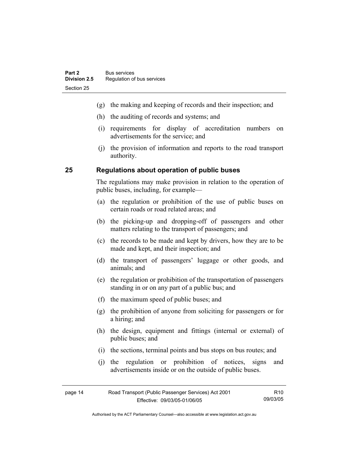- (g) the making and keeping of records and their inspection; and
- (h) the auditing of records and systems; and
- (i) requirements for display of accreditation numbers on advertisements for the service; and
- (j) the provision of information and reports to the road transport authority.

#### **25 Regulations about operation of public buses**

The regulations may make provision in relation to the operation of public buses, including, for example—

- (a) the regulation or prohibition of the use of public buses on certain roads or road related areas; and
- (b) the picking-up and dropping-off of passengers and other matters relating to the transport of passengers; and
- (c) the records to be made and kept by drivers, how they are to be made and kept, and their inspection; and
- (d) the transport of passengers' luggage or other goods, and animals; and
- (e) the regulation or prohibition of the transportation of passengers standing in or on any part of a public bus; and
- (f) the maximum speed of public buses; and
- (g) the prohibition of anyone from soliciting for passengers or for a hiring; and
- (h) the design, equipment and fittings (internal or external) of public buses; and
- (i) the sections, terminal points and bus stops on bus routes; and
- (j) the regulation or prohibition of notices, signs and advertisements inside or on the outside of public buses.

| page 14 | Road Transport (Public Passenger Services) Act 2001 | R <sub>10</sub> |
|---------|-----------------------------------------------------|-----------------|
|         | Effective: 09/03/05-01/06/05                        | 09/03/05        |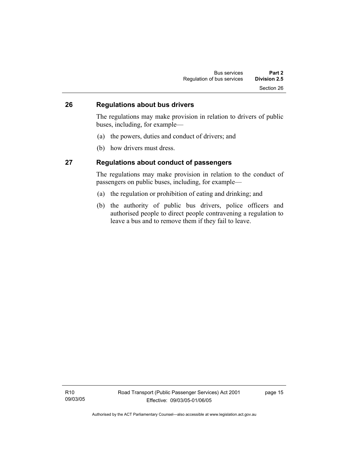#### **26 Regulations about bus drivers**

The regulations may make provision in relation to drivers of public buses, including, for example—

- (a) the powers, duties and conduct of drivers; and
- (b) how drivers must dress.

#### **27 Regulations about conduct of passengers**

The regulations may make provision in relation to the conduct of passengers on public buses, including, for example—

- (a) the regulation or prohibition of eating and drinking; and
- (b) the authority of public bus drivers, police officers and authorised people to direct people contravening a regulation to leave a bus and to remove them if they fail to leave.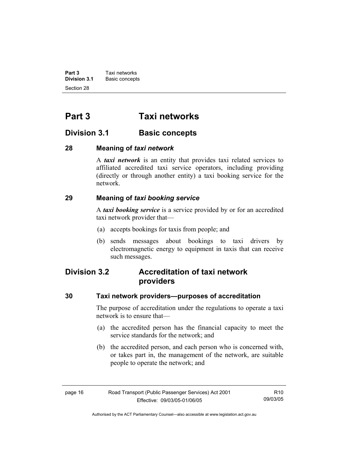**Part 3 Taxi networks**<br>**Division 3.1 Basic concept Basic concepts** Section 28

# **Part 3 Taxi networks**

# **Division 3.1** Basic concepts

#### **28 Meaning of** *taxi network*

A *taxi network* is an entity that provides taxi related services to affiliated accredited taxi service operators, including providing (directly or through another entity) a taxi booking service for the network.

### **29 Meaning of** *taxi booking service*

A *taxi booking service* is a service provided by or for an accredited taxi network provider that—

- (a) accepts bookings for taxis from people; and
- (b) sends messages about bookings to taxi drivers by electromagnetic energy to equipment in taxis that can receive such messages.

# **Division 3.2 Accreditation of taxi network providers**

#### **30 Taxi network providers—purposes of accreditation**

The purpose of accreditation under the regulations to operate a taxi network is to ensure that—

- (a) the accredited person has the financial capacity to meet the service standards for the network; and
- (b) the accredited person, and each person who is concerned with, or takes part in, the management of the network, are suitable people to operate the network; and

| page 16 | Road Transport (Public Passenger Services) Act 2001 | R10      |
|---------|-----------------------------------------------------|----------|
|         | Effective: 09/03/05-01/06/05                        | 09/03/05 |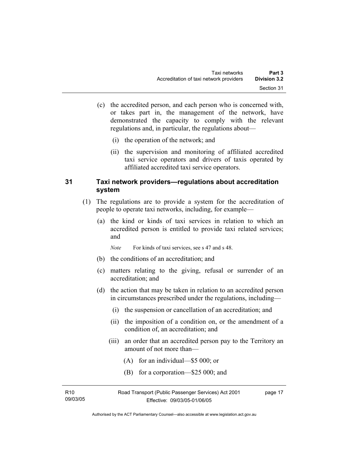- (c) the accredited person, and each person who is concerned with, or takes part in, the management of the network, have demonstrated the capacity to comply with the relevant regulations and, in particular, the regulations about—
	- (i) the operation of the network; and
	- (ii) the supervision and monitoring of affiliated accredited taxi service operators and drivers of taxis operated by affiliated accredited taxi service operators.

#### **31 Taxi network providers—regulations about accreditation system**

- (1) The regulations are to provide a system for the accreditation of people to operate taxi networks, including, for example—
	- (a) the kind or kinds of taxi services in relation to which an accredited person is entitled to provide taxi related services; and
		- *Note* For kinds of taxi services, see s 47 and s 48.
	- (b) the conditions of an accreditation; and
	- (c) matters relating to the giving, refusal or surrender of an accreditation; and
	- (d) the action that may be taken in relation to an accredited person in circumstances prescribed under the regulations, including—
		- (i) the suspension or cancellation of an accreditation; and
		- (ii) the imposition of a condition on, or the amendment of a condition of, an accreditation; and
		- (iii) an order that an accredited person pay to the Territory an amount of not more than—
			- (A) for an individual—\$5 000; or
			- (B) for a corporation—\$25 000; and

| R10      | Road Transport (Public Passenger Services) Act 2001 | page 17 |
|----------|-----------------------------------------------------|---------|
| 09/03/05 | Effective: 09/03/05-01/06/05                        |         |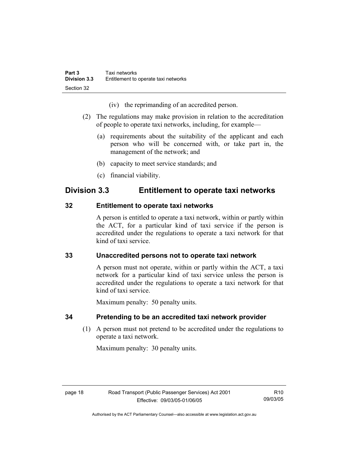(iv) the reprimanding of an accredited person.

- (2) The regulations may make provision in relation to the accreditation of people to operate taxi networks, including, for example—
	- (a) requirements about the suitability of the applicant and each person who will be concerned with, or take part in, the management of the network; and
	- (b) capacity to meet service standards; and
	- (c) financial viability.

# **Division 3.3 Entitlement to operate taxi networks**

### **32 Entitlement to operate taxi networks**

A person is entitled to operate a taxi network, within or partly within the ACT, for a particular kind of taxi service if the person is accredited under the regulations to operate a taxi network for that kind of taxi service.

# **33 Unaccredited persons not to operate taxi network**

A person must not operate, within or partly within the ACT, a taxi network for a particular kind of taxi service unless the person is accredited under the regulations to operate a taxi network for that kind of taxi service.

Maximum penalty: 50 penalty units.

# **34 Pretending to be an accredited taxi network provider**

 (1) A person must not pretend to be accredited under the regulations to operate a taxi network.

Maximum penalty: 30 penalty units.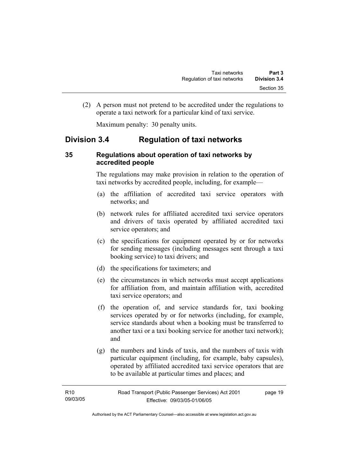(2) A person must not pretend to be accredited under the regulations to operate a taxi network for a particular kind of taxi service.

Maximum penalty: 30 penalty units.

# **Division 3.4 Regulation of taxi networks**

#### **35 Regulations about operation of taxi networks by accredited people**

The regulations may make provision in relation to the operation of taxi networks by accredited people, including, for example—

- (a) the affiliation of accredited taxi service operators with networks; and
- (b) network rules for affiliated accredited taxi service operators and drivers of taxis operated by affiliated accredited taxi service operators; and
- (c) the specifications for equipment operated by or for networks for sending messages (including messages sent through a taxi booking service) to taxi drivers; and
- (d) the specifications for taximeters; and
- (e) the circumstances in which networks must accept applications for affiliation from, and maintain affiliation with, accredited taxi service operators; and
- (f) the operation of, and service standards for, taxi booking services operated by or for networks (including, for example, service standards about when a booking must be transferred to another taxi or a taxi booking service for another taxi network); and
- (g) the numbers and kinds of taxis, and the numbers of taxis with particular equipment (including, for example, baby capsules), operated by affiliated accredited taxi service operators that are to be available at particular times and places; and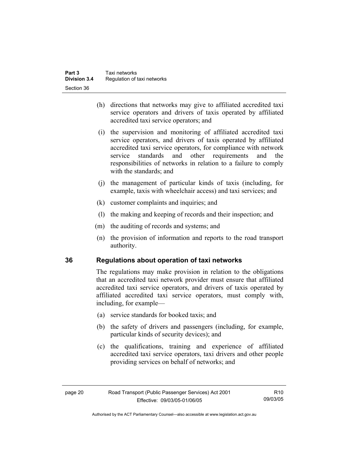- (h) directions that networks may give to affiliated accredited taxi service operators and drivers of taxis operated by affiliated accredited taxi service operators; and
- (i) the supervision and monitoring of affiliated accredited taxi service operators, and drivers of taxis operated by affiliated accredited taxi service operators, for compliance with network service standards and other requirements and the responsibilities of networks in relation to a failure to comply with the standards; and
- (j) the management of particular kinds of taxis (including, for example, taxis with wheelchair access) and taxi services; and
- (k) customer complaints and inquiries; and
- (l) the making and keeping of records and their inspection; and
- (m) the auditing of records and systems; and
- (n) the provision of information and reports to the road transport authority.

### **36 Regulations about operation of taxi networks**

The regulations may make provision in relation to the obligations that an accredited taxi network provider must ensure that affiliated accredited taxi service operators, and drivers of taxis operated by affiliated accredited taxi service operators, must comply with, including, for example—

- (a) service standards for booked taxis; and
- (b) the safety of drivers and passengers (including, for example, particular kinds of security devices); and
- (c) the qualifications, training and experience of affiliated accredited taxi service operators, taxi drivers and other people providing services on behalf of networks; and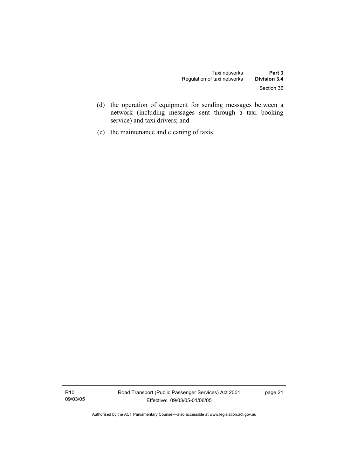- (d) the operation of equipment for sending messages between a network (including messages sent through a taxi booking service) and taxi drivers; and
- (e) the maintenance and cleaning of taxis.

R10 09/03/05 Road Transport (Public Passenger Services) Act 2001 Effective: 09/03/05-01/06/05

page 21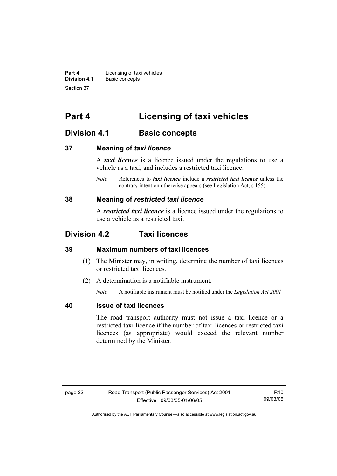**Part 4 Licensing of taxi vehicles**<br>**Division 4.1** Basic concepts **Division 4.1** Basic concepts Section 37

# **Part 4 Licensing of taxi vehicles**

# **Division 4.1 Basic concepts**

#### **37 Meaning of** *taxi licence*

A *taxi licence* is a licence issued under the regulations to use a vehicle as a taxi, and includes a restricted taxi licence.

*Note* References to *taxi licence* include a *restricted taxi licence* unless the contrary intention otherwise appears (see Legislation Act, s 155).

#### **38 Meaning of** *restricted taxi licence*

A *restricted taxi licence* is a licence issued under the regulations to use a vehicle as a restricted taxi.

## **Division 4.2 Taxi licences**

#### **39 Maximum numbers of taxi licences**

- (1) The Minister may, in writing, determine the number of taxi licences or restricted taxi licences.
- (2) A determination is a notifiable instrument.

*Note* A notifiable instrument must be notified under the *Legislation Act 2001*.

#### **40 Issue of taxi licences**

The road transport authority must not issue a taxi licence or a restricted taxi licence if the number of taxi licences or restricted taxi licences (as appropriate) would exceed the relevant number determined by the Minister.

R10 09/03/05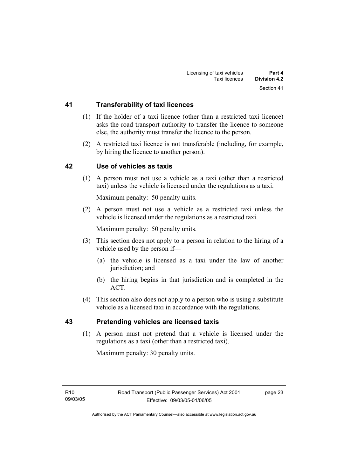#### **41 Transferability of taxi licences**

- (1) If the holder of a taxi licence (other than a restricted taxi licence) asks the road transport authority to transfer the licence to someone else, the authority must transfer the licence to the person.
- (2) A restricted taxi licence is not transferable (including, for example, by hiring the licence to another person).

#### **42 Use of vehicles as taxis**

 (1) A person must not use a vehicle as a taxi (other than a restricted taxi) unless the vehicle is licensed under the regulations as a taxi.

Maximum penalty: 50 penalty units.

 (2) A person must not use a vehicle as a restricted taxi unless the vehicle is licensed under the regulations as a restricted taxi.

Maximum penalty: 50 penalty units.

- (3) This section does not apply to a person in relation to the hiring of a vehicle used by the person if—
	- (a) the vehicle is licensed as a taxi under the law of another jurisdiction; and
	- (b) the hiring begins in that jurisdiction and is completed in the ACT.
- (4) This section also does not apply to a person who is using a substitute vehicle as a licensed taxi in accordance with the regulations.

#### **43 Pretending vehicles are licensed taxis**

 (1) A person must not pretend that a vehicle is licensed under the regulations as a taxi (other than a restricted taxi).

Maximum penalty: 30 penalty units.

page 23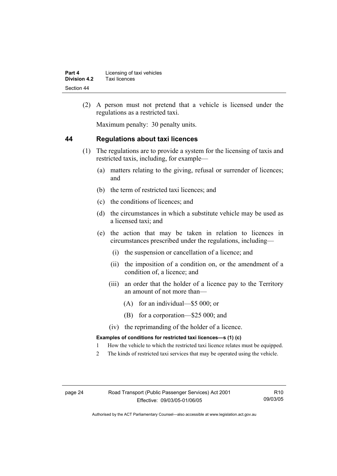| Part 4       | Licensing of taxi vehicles |
|--------------|----------------------------|
| Division 4.2 | Taxi licences              |
| Section 44   |                            |

 (2) A person must not pretend that a vehicle is licensed under the regulations as a restricted taxi.

Maximum penalty: 30 penalty units.

#### **44 Regulations about taxi licences**

- (1) The regulations are to provide a system for the licensing of taxis and restricted taxis, including, for example—
	- (a) matters relating to the giving, refusal or surrender of licences; and
	- (b) the term of restricted taxi licences; and
	- (c) the conditions of licences; and
	- (d) the circumstances in which a substitute vehicle may be used as a licensed taxi; and
	- (e) the action that may be taken in relation to licences in circumstances prescribed under the regulations, including—
		- (i) the suspension or cancellation of a licence; and
		- (ii) the imposition of a condition on, or the amendment of a condition of, a licence; and
		- (iii) an order that the holder of a licence pay to the Territory an amount of not more than—
			- (A) for an individual—\$5 000; or
			- (B) for a corporation—\$25 000; and
		- (iv) the reprimanding of the holder of a licence.

#### **Examples of conditions for restricted taxi licences—s (1) (c)**

- 1 How the vehicle to which the restricted taxi licence relates must be equipped.
- 2 The kinds of restricted taxi services that may be operated using the vehicle.

R10 09/03/05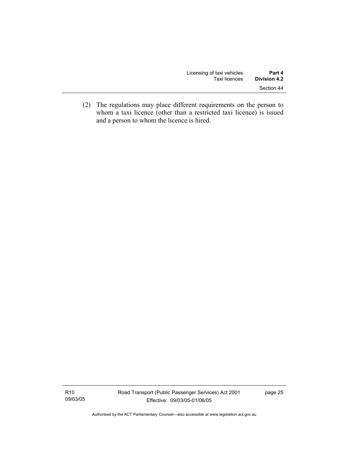| Licensing of taxi vehicles | Part 4              |
|----------------------------|---------------------|
| Taxi licences              | <b>Division 4.2</b> |
|                            | Section 44          |

 (2) The regulations may place different requirements on the person to whom a taxi licence (other than a restricted taxi licence) is issued and a person to whom the licence is hired.

R10 09/03/05 page 25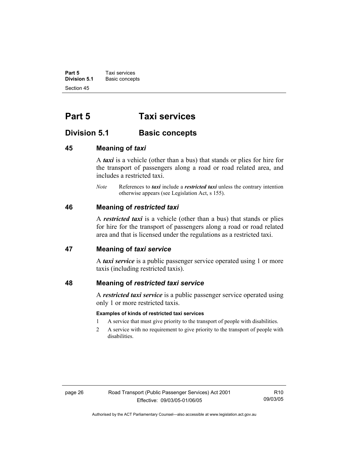**Part 5 Taxi services**<br>**Division 5.1 Basic concep Division 5.1** Basic concepts Section 45

# **Part 5 Taxi services**

### **Division 5.1** Basic concepts

#### **45 Meaning of** *taxi*

A *taxi* is a vehicle (other than a bus) that stands or plies for hire for the transport of passengers along a road or road related area, and includes a restricted taxi.

*Note* References to *taxi* include a *restricted taxi* unless the contrary intention otherwise appears (see Legislation Act, s 155).

#### **46 Meaning of** *restricted taxi*

A *restricted taxi* is a vehicle (other than a bus) that stands or plies for hire for the transport of passengers along a road or road related area and that is licensed under the regulations as a restricted taxi.

#### **47 Meaning of** *taxi service*

A *taxi service* is a public passenger service operated using 1 or more taxis (including restricted taxis).

#### **48 Meaning of** *restricted taxi service*

A *restricted taxi service* is a public passenger service operated using only 1 or more restricted taxis.

#### **Examples of kinds of restricted taxi services**

- 1 A service that must give priority to the transport of people with disabilities.
- 2 A service with no requirement to give priority to the transport of people with disabilities.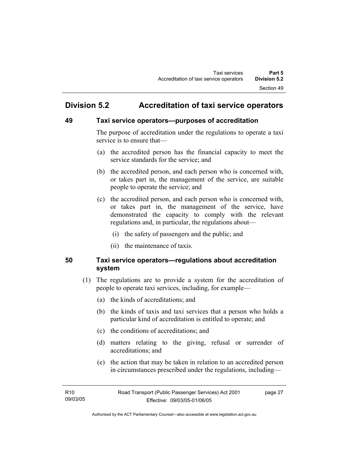# **Division 5.2 Accreditation of taxi service operators**

### **49 Taxi service operators—purposes of accreditation**

The purpose of accreditation under the regulations to operate a taxi service is to ensure that—

- (a) the accredited person has the financial capacity to meet the service standards for the service; and
- (b) the accredited person, and each person who is concerned with, or takes part in, the management of the service, are suitable people to operate the service; and
- (c) the accredited person, and each person who is concerned with, or takes part in, the management of the service, have demonstrated the capacity to comply with the relevant regulations and, in particular, the regulations about—
	- (i) the safety of passengers and the public; and
	- (ii) the maintenance of taxis.

### **50 Taxi service operators—regulations about accreditation system**

- (1) The regulations are to provide a system for the accreditation of people to operate taxi services, including, for example—
	- (a) the kinds of accreditations; and
	- (b) the kinds of taxis and taxi services that a person who holds a particular kind of accreditation is entitled to operate; and
	- (c) the conditions of accreditations; and
	- (d) matters relating to the giving, refusal or surrender of accreditations; and
	- (e) the action that may be taken in relation to an accredited person in circumstances prescribed under the regulations, including—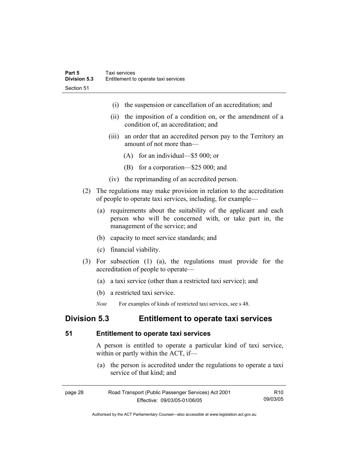- (i) the suspension or cancellation of an accreditation; and
- (ii) the imposition of a condition on, or the amendment of a condition of, an accreditation; and
- (iii) an order that an accredited person pay to the Territory an amount of not more than—
	- (A) for an individual—\$5 000; or
	- (B) for a corporation—\$25 000; and
- (iv) the reprimanding of an accredited person.
- (2) The regulations may make provision in relation to the accreditation of people to operate taxi services, including, for example—
	- (a) requirements about the suitability of the applicant and each person who will be concerned with, or take part in, the management of the service; and
	- (b) capacity to meet service standards; and
	- (c) financial viability.
- (3) For subsection (1) (a), the regulations must provide for the accreditation of people to operate—
	- (a) a taxi service (other than a restricted taxi service); and
	- (b) a restricted taxi service.
	- *Note* For examples of kinds of restricted taxi services, see s 48.

# **Division 5.3 Entitlement to operate taxi services**

#### **51 Entitlement to operate taxi services**

A person is entitled to operate a particular kind of taxi service, within or partly within the ACT, if—

 (a) the person is accredited under the regulations to operate a taxi service of that kind; and

| page 28 | Road Transport (Public Passenger Services) Act 2001 | R <sub>10</sub> |
|---------|-----------------------------------------------------|-----------------|
|         | Effective: 09/03/05-01/06/05                        | 09/03/05        |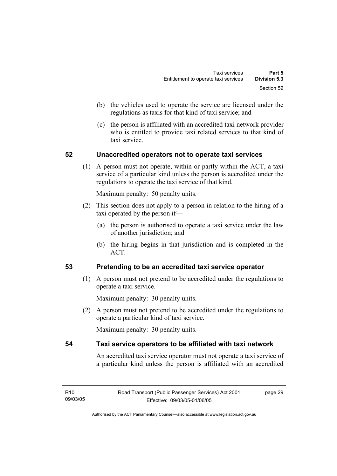- (b) the vehicles used to operate the service are licensed under the regulations as taxis for that kind of taxi service; and
- (c) the person is affiliated with an accredited taxi network provider who is entitled to provide taxi related services to that kind of taxi service.

# **52 Unaccredited operators not to operate taxi services**

 (1) A person must not operate, within or partly within the ACT, a taxi service of a particular kind unless the person is accredited under the regulations to operate the taxi service of that kind.

Maximum penalty: 50 penalty units.

- (2) This section does not apply to a person in relation to the hiring of a taxi operated by the person if—
	- (a) the person is authorised to operate a taxi service under the law of another jurisdiction; and
	- (b) the hiring begins in that jurisdiction and is completed in the ACT.

# **53 Pretending to be an accredited taxi service operator**

 (1) A person must not pretend to be accredited under the regulations to operate a taxi service.

Maximum penalty: 30 penalty units.

 (2) A person must not pretend to be accredited under the regulations to operate a particular kind of taxi service.

Maximum penalty: 30 penalty units.

# **54 Taxi service operators to be affiliated with taxi network**

An accredited taxi service operator must not operate a taxi service of a particular kind unless the person is affiliated with an accredited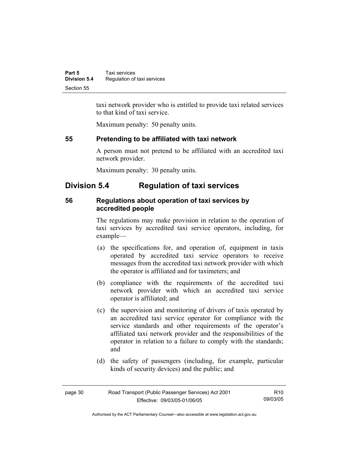| Part 5              | Taxi services               |
|---------------------|-----------------------------|
| <b>Division 5.4</b> | Regulation of taxi services |
| Section 55          |                             |

taxi network provider who is entitled to provide taxi related services to that kind of taxi service.

Maximum penalty: 50 penalty units.

# **55 Pretending to be affiliated with taxi network**

A person must not pretend to be affiliated with an accredited taxi network provider.

Maximum penalty: 30 penalty units.

# **Division 5.4 Regulation of taxi services**

# **56 Regulations about operation of taxi services by accredited people**

The regulations may make provision in relation to the operation of taxi services by accredited taxi service operators, including, for example—

- (a) the specifications for, and operation of, equipment in taxis operated by accredited taxi service operators to receive messages from the accredited taxi network provider with which the operator is affiliated and for taximeters; and
- (b) compliance with the requirements of the accredited taxi network provider with which an accredited taxi service operator is affiliated; and
- (c) the supervision and monitoring of drivers of taxis operated by an accredited taxi service operator for compliance with the service standards and other requirements of the operator's affiliated taxi network provider and the responsibilities of the operator in relation to a failure to comply with the standards; and
- (d) the safety of passengers (including, for example, particular kinds of security devices) and the public; and

| page 30 | Road Transport (Public Passenger Services) Act 2001 |          |
|---------|-----------------------------------------------------|----------|
|         | Effective: 09/03/05-01/06/05                        | 09/03/05 |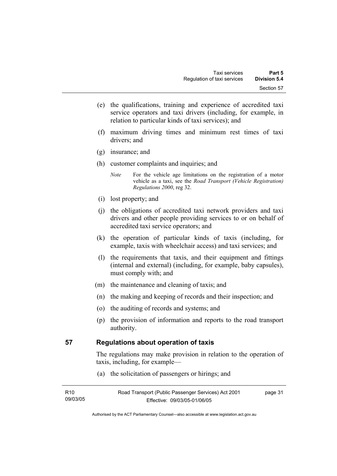- (e) the qualifications, training and experience of accredited taxi service operators and taxi drivers (including, for example, in relation to particular kinds of taxi services); and
- (f) maximum driving times and minimum rest times of taxi drivers; and
- (g) insurance; and
- (h) customer complaints and inquiries; and
	- *Note* For the vehicle age limitations on the registration of a motor vehicle as a taxi, see the *Road Transport (Vehicle Registration) Regulations 2000*, reg 32.
- (i) lost property; and
- (j) the obligations of accredited taxi network providers and taxi drivers and other people providing services to or on behalf of accredited taxi service operators; and
- (k) the operation of particular kinds of taxis (including, for example, taxis with wheelchair access) and taxi services; and
- (l) the requirements that taxis, and their equipment and fittings (internal and external) (including, for example, baby capsules), must comply with; and
- (m) the maintenance and cleaning of taxis; and
- (n) the making and keeping of records and their inspection; and
- (o) the auditing of records and systems; and
- (p) the provision of information and reports to the road transport authority.

# **57 Regulations about operation of taxis**

The regulations may make provision in relation to the operation of taxis, including, for example—

(a) the solicitation of passengers or hirings; and

| R10<br>Road Transport (Public Passenger Services) Act 2001 |                              | page 31 |
|------------------------------------------------------------|------------------------------|---------|
| 09/03/05                                                   | Effective: 09/03/05-01/06/05 |         |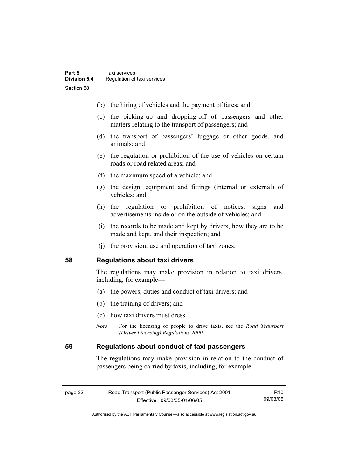- (b) the hiring of vehicles and the payment of fares; and
- (c) the picking-up and dropping-off of passengers and other matters relating to the transport of passengers; and
- (d) the transport of passengers' luggage or other goods, and animals; and
- (e) the regulation or prohibition of the use of vehicles on certain roads or road related areas; and
- (f) the maximum speed of a vehicle; and
- (g) the design, equipment and fittings (internal or external) of vehicles; and
- (h) the regulation or prohibition of notices, signs and advertisements inside or on the outside of vehicles; and
- (i) the records to be made and kept by drivers, how they are to be made and kept, and their inspection; and
- (j) the provision, use and operation of taxi zones.

## **58 Regulations about taxi drivers**

The regulations may make provision in relation to taxi drivers, including, for example—

- (a) the powers, duties and conduct of taxi drivers; and
- (b) the training of drivers; and
- (c) how taxi drivers must dress.
- *Note* For the licensing of people to drive taxis, see the *Road Transport (Driver Licensing) Regulations 2000*.

# **59 Regulations about conduct of taxi passengers**

The regulations may make provision in relation to the conduct of passengers being carried by taxis, including, for example—

| page 32 | Road Transport (Public Passenger Services) Act 2001 |          |
|---------|-----------------------------------------------------|----------|
|         | Effective: 09/03/05-01/06/05                        | 09/03/05 |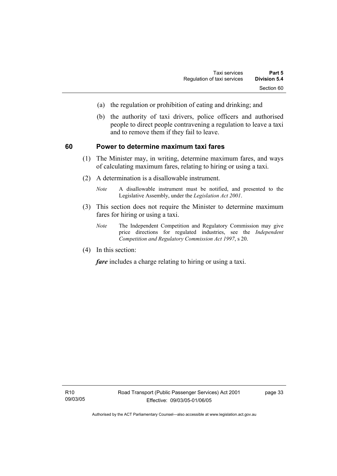- (a) the regulation or prohibition of eating and drinking; and
- (b) the authority of taxi drivers, police officers and authorised people to direct people contravening a regulation to leave a taxi and to remove them if they fail to leave.

# **60 Power to determine maximum taxi fares**

- (1) The Minister may, in writing, determine maximum fares, and ways of calculating maximum fares, relating to hiring or using a taxi.
- (2) A determination is a disallowable instrument.
	- *Note* A disallowable instrument must be notified, and presented to the Legislative Assembly, under the *Legislation Act 2001*.
- (3) This section does not require the Minister to determine maximum fares for hiring or using a taxi.
	- *Note* The Independent Competition and Regulatory Commission may give price directions for regulated industries, see the *Independent Competition and Regulatory Commission Act 1997*, s 20.
- (4) In this section:

*fare* includes a charge relating to hiring or using a taxi.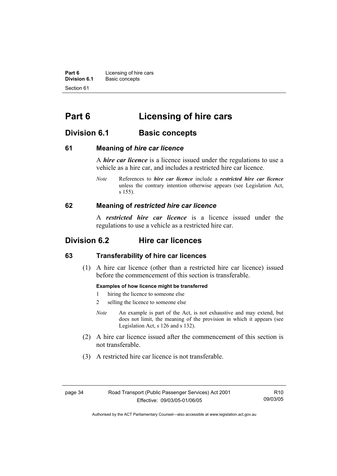**Part 6 Licensing of hire cars**<br>**Division 6.1 Basic concepts Division 6.1** Basic concepts Section 61

# **Part 6 Licensing of hire cars**

# **Division 6.1** Basic concepts

# **61 Meaning of** *hire car licence*

A *hire car licence* is a licence issued under the regulations to use a vehicle as a hire car, and includes a restricted hire car licence.

*Note* References to *hire car licence* include a *restricted hire car licence* unless the contrary intention otherwise appears (see Legislation Act, s 155).

# **62 Meaning of** *restricted hire car licence*

A *restricted hire car licence* is a licence issued under the regulations to use a vehicle as a restricted hire car.

# **Division 6.2 Hire car licences**

# **63 Transferability of hire car licences**

 (1) A hire car licence (other than a restricted hire car licence) issued before the commencement of this section is transferable.

#### **Examples of how licence might be transferred**

- 1 hiring the licence to someone else
- 2 selling the licence to someone else
- *Note* An example is part of the Act, is not exhaustive and may extend, but does not limit, the meaning of the provision in which it appears (see Legislation Act, s 126 and s 132).
- (2) A hire car licence issued after the commencement of this section is not transferable.
- (3) A restricted hire car licence is not transferable.

page 34 Road Transport (Public Passenger Services) Act 2001 Effective: 09/03/05-01/06/05

R10 09/03/05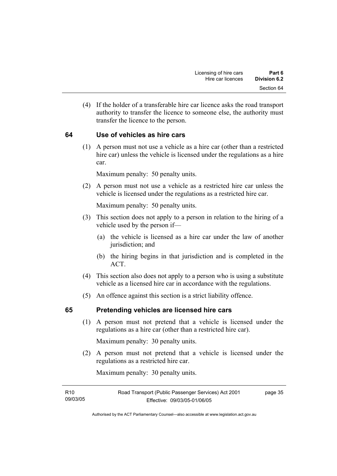(4) If the holder of a transferable hire car licence asks the road transport authority to transfer the licence to someone else, the authority must transfer the licence to the person.

# **64 Use of vehicles as hire cars**

 (1) A person must not use a vehicle as a hire car (other than a restricted hire car) unless the vehicle is licensed under the regulations as a hire car.

Maximum penalty: 50 penalty units.

 (2) A person must not use a vehicle as a restricted hire car unless the vehicle is licensed under the regulations as a restricted hire car.

Maximum penalty: 50 penalty units.

- (3) This section does not apply to a person in relation to the hiring of a vehicle used by the person if—
	- (a) the vehicle is licensed as a hire car under the law of another jurisdiction; and
	- (b) the hiring begins in that jurisdiction and is completed in the ACT.
- (4) This section also does not apply to a person who is using a substitute vehicle as a licensed hire car in accordance with the regulations.
- (5) An offence against this section is a strict liability offence.

# **65 Pretending vehicles are licensed hire cars**

 (1) A person must not pretend that a vehicle is licensed under the regulations as a hire car (other than a restricted hire car).

Maximum penalty: 30 penalty units.

 (2) A person must not pretend that a vehicle is licensed under the regulations as a restricted hire car.

Maximum penalty: 30 penalty units.

| R <sub>10</sub> | Road Transport (Public Passenger Services) Act 2001 |  |
|-----------------|-----------------------------------------------------|--|
| 09/03/05        | Effective: 09/03/05-01/06/05                        |  |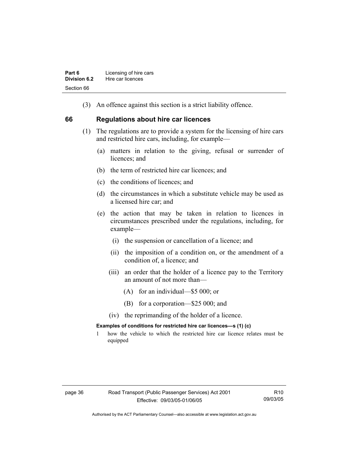(3) An offence against this section is a strict liability offence.

# **66 Regulations about hire car licences**

- (1) The regulations are to provide a system for the licensing of hire cars and restricted hire cars, including, for example—
	- (a) matters in relation to the giving, refusal or surrender of licences: and
	- (b) the term of restricted hire car licences; and
	- (c) the conditions of licences; and
	- (d) the circumstances in which a substitute vehicle may be used as a licensed hire car; and
	- (e) the action that may be taken in relation to licences in circumstances prescribed under the regulations, including, for example—
		- (i) the suspension or cancellation of a licence; and
		- (ii) the imposition of a condition on, or the amendment of a condition of, a licence; and
		- (iii) an order that the holder of a licence pay to the Territory an amount of not more than—
			- (A) for an individual—\$5 000; or
			- (B) for a corporation—\$25 000; and
		- (iv) the reprimanding of the holder of a licence.

## **Examples of conditions for restricted hire car licences—s (1) (c)**

1 how the vehicle to which the restricted hire car licence relates must be equipped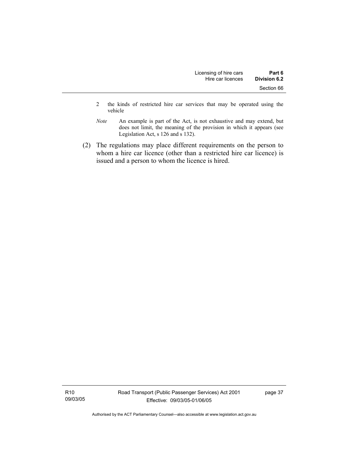- 2 the kinds of restricted hire car services that may be operated using the vehicle
- *Note* An example is part of the Act, is not exhaustive and may extend, but does not limit, the meaning of the provision in which it appears (see Legislation Act, s 126 and s 132).
- (2) The regulations may place different requirements on the person to whom a hire car licence (other than a restricted hire car licence) is issued and a person to whom the licence is hired.

R10 09/03/05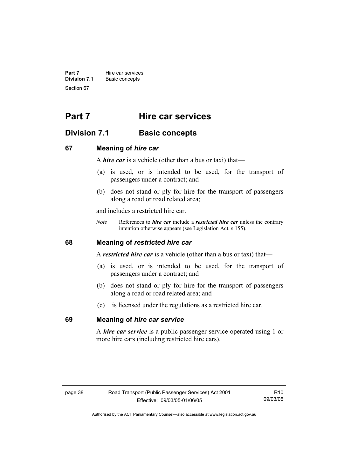**Part 7 Hire car services Division 7.1** Basic concepts Section 67

# **Part 7 Hire car services**

# **Division 7.1 Basic concepts**

# **67 Meaning of** *hire car*

A *hire car* is a vehicle (other than a bus or taxi) that—

- (a) is used, or is intended to be used, for the transport of passengers under a contract; and
- (b) does not stand or ply for hire for the transport of passengers along a road or road related area;

and includes a restricted hire car.

*Note* References to *hire car* include a *restricted hire car* unless the contrary intention otherwise appears (see Legislation Act, s 155).

# **68 Meaning of** *restricted hire car*

A *restricted hire car* is a vehicle (other than a bus or taxi) that—

- (a) is used, or is intended to be used, for the transport of passengers under a contract; and
- (b) does not stand or ply for hire for the transport of passengers along a road or road related area; and
- (c) is licensed under the regulations as a restricted hire car.

# **69 Meaning of** *hire car service*

A *hire car service* is a public passenger service operated using 1 or more hire cars (including restricted hire cars).

R10 09/03/05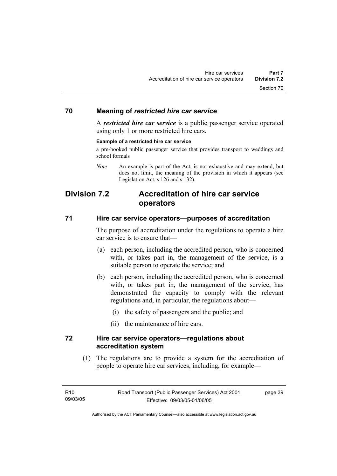# **70 Meaning of** *restricted hire car service*

A *restricted hire car service* is a public passenger service operated using only 1 or more restricted hire cars.

#### **Example of a restricted hire car service**

a pre-booked public passenger service that provides transport to weddings and school formals

*Note* An example is part of the Act, is not exhaustive and may extend, but does not limit, the meaning of the provision in which it appears (see Legislation Act, s 126 and s 132).

# **Division 7.2 Accreditation of hire car service operators**

# **71 Hire car service operators—purposes of accreditation**

The purpose of accreditation under the regulations to operate a hire car service is to ensure that—

- (a) each person, including the accredited person, who is concerned with, or takes part in, the management of the service, is a suitable person to operate the service; and
- (b) each person, including the accredited person, who is concerned with, or takes part in, the management of the service, has demonstrated the capacity to comply with the relevant regulations and, in particular, the regulations about—
	- (i) the safety of passengers and the public; and
	- (ii) the maintenance of hire cars.

# **72 Hire car service operators—regulations about accreditation system**

 (1) The regulations are to provide a system for the accreditation of people to operate hire car services, including, for example—

page 39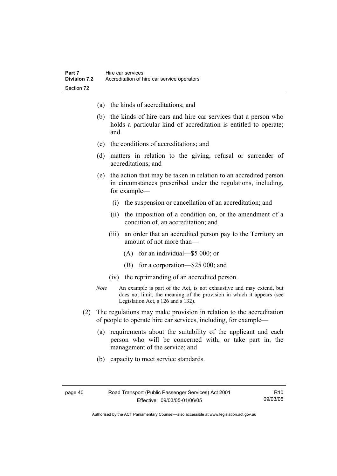- (a) the kinds of accreditations; and
- (b) the kinds of hire cars and hire car services that a person who holds a particular kind of accreditation is entitled to operate; and
- (c) the conditions of accreditations; and
- (d) matters in relation to the giving, refusal or surrender of accreditations; and
- (e) the action that may be taken in relation to an accredited person in circumstances prescribed under the regulations, including, for example—
	- (i) the suspension or cancellation of an accreditation; and
	- (ii) the imposition of a condition on, or the amendment of a condition of, an accreditation; and
	- (iii) an order that an accredited person pay to the Territory an amount of not more than—
		- (A) for an individual—\$5 000; or
		- (B) for a corporation—\$25 000; and
	- (iv) the reprimanding of an accredited person.
- *Note* An example is part of the Act, is not exhaustive and may extend, but does not limit, the meaning of the provision in which it appears (see Legislation Act, s 126 and s 132).
- (2) The regulations may make provision in relation to the accreditation of people to operate hire car services, including, for example—
	- (a) requirements about the suitability of the applicant and each person who will be concerned with, or take part in, the management of the service; and
	- (b) capacity to meet service standards.

page 40 Road Transport (Public Passenger Services) Act 2001 Effective: 09/03/05-01/06/05

R10 09/03/05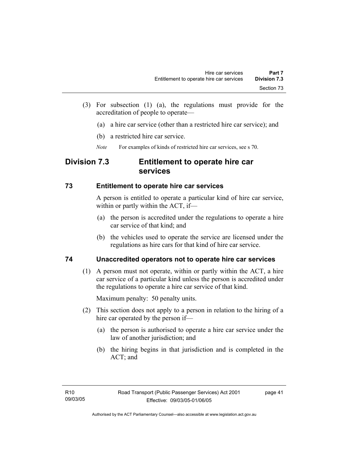- (3) For subsection (1) (a), the regulations must provide for the accreditation of people to operate—
	- (a) a hire car service (other than a restricted hire car service); and
	- (b) a restricted hire car service.
	- *Note* For examples of kinds of restricted hire car services, see s 70.

# **Division 7.3 Entitlement to operate hire car services**

# **73 Entitlement to operate hire car services**

A person is entitled to operate a particular kind of hire car service, within or partly within the ACT, if—

- (a) the person is accredited under the regulations to operate a hire car service of that kind; and
- (b) the vehicles used to operate the service are licensed under the regulations as hire cars for that kind of hire car service.

# **74 Unaccredited operators not to operate hire car services**

 (1) A person must not operate, within or partly within the ACT, a hire car service of a particular kind unless the person is accredited under the regulations to operate a hire car service of that kind.

Maximum penalty: 50 penalty units.

- (2) This section does not apply to a person in relation to the hiring of a hire car operated by the person if—
	- (a) the person is authorised to operate a hire car service under the law of another jurisdiction; and
	- (b) the hiring begins in that jurisdiction and is completed in the ACT; and

page 41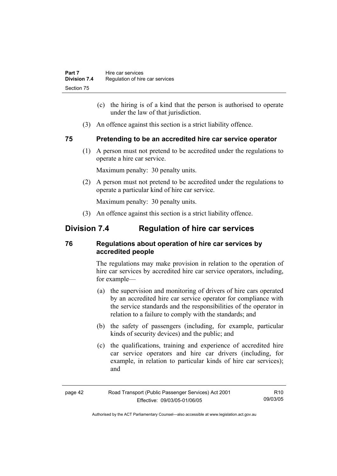- (c) the hiring is of a kind that the person is authorised to operate under the law of that jurisdiction.
- (3) An offence against this section is a strict liability offence.

# **75 Pretending to be an accredited hire car service operator**

 (1) A person must not pretend to be accredited under the regulations to operate a hire car service.

Maximum penalty: 30 penalty units.

 (2) A person must not pretend to be accredited under the regulations to operate a particular kind of hire car service.

Maximum penalty: 30 penalty units.

(3) An offence against this section is a strict liability offence.

# **Division 7.4 Regulation of hire car services**

# **76 Regulations about operation of hire car services by accredited people**

The regulations may make provision in relation to the operation of hire car services by accredited hire car service operators, including, for example—

- (a) the supervision and monitoring of drivers of hire cars operated by an accredited hire car service operator for compliance with the service standards and the responsibilities of the operator in relation to a failure to comply with the standards; and
- (b) the safety of passengers (including, for example, particular kinds of security devices) and the public; and
- (c) the qualifications, training and experience of accredited hire car service operators and hire car drivers (including, for example, in relation to particular kinds of hire car services); and

| page 42 | Road Transport (Public Passenger Services) Act 2001 |          |
|---------|-----------------------------------------------------|----------|
|         | Effective: 09/03/05-01/06/05                        | 09/03/05 |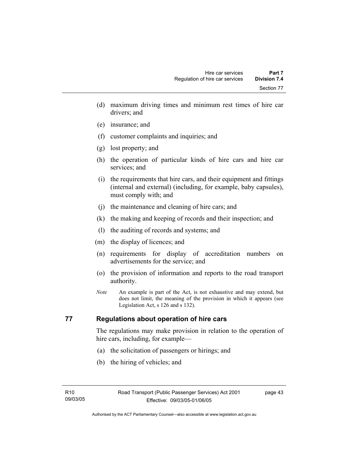- (d) maximum driving times and minimum rest times of hire car drivers; and
- (e) insurance; and
- (f) customer complaints and inquiries; and
- (g) lost property; and
- (h) the operation of particular kinds of hire cars and hire car services; and
- (i) the requirements that hire cars, and their equipment and fittings (internal and external) (including, for example, baby capsules), must comply with; and
- (j) the maintenance and cleaning of hire cars; and
- (k) the making and keeping of records and their inspection; and
- (l) the auditing of records and systems; and
- (m) the display of licences; and
- (n) requirements for display of accreditation numbers on advertisements for the service; and
- (o) the provision of information and reports to the road transport authority.
- *Note* An example is part of the Act, is not exhaustive and may extend, but does not limit, the meaning of the provision in which it appears (see Legislation Act, s 126 and s 132).

# **77 Regulations about operation of hire cars**

The regulations may make provision in relation to the operation of hire cars, including, for example—

- (a) the solicitation of passengers or hirings; and
- (b) the hiring of vehicles; and

page 43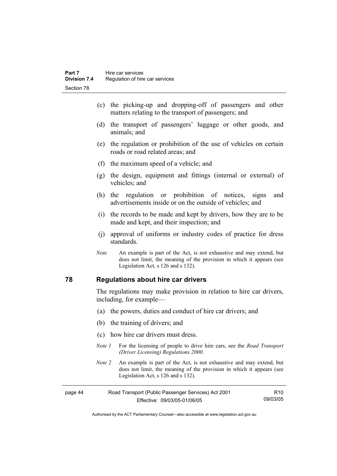- (c) the picking-up and dropping-off of passengers and other matters relating to the transport of passengers; and
- (d) the transport of passengers' luggage or other goods, and animals; and
- (e) the regulation or prohibition of the use of vehicles on certain roads or road related areas; and
- (f) the maximum speed of a vehicle; and
- (g) the design, equipment and fittings (internal or external) of vehicles; and
- (h) the regulation or prohibition of notices, signs and advertisements inside or on the outside of vehicles; and
- (i) the records to be made and kept by drivers, how they are to be made and kept, and their inspection; and
- (j) approval of uniforms or industry codes of practice for dress standards.
- *Note* An example is part of the Act, is not exhaustive and may extend, but does not limit, the meaning of the provision in which it appears (see Legislation Act, s 126 and s 132).

## **78 Regulations about hire car drivers**

The regulations may make provision in relation to hire car drivers, including, for example—

- (a) the powers, duties and conduct of hire car drivers; and
- (b) the training of drivers; and
- (c) how hire car drivers must dress.
- *Note 1* For the licensing of people to drive hire cars, see the *Road Transport (Driver Licensing) Regulations 2000*.
- *Note 2* An example is part of the Act, is not exhaustive and may extend, but does not limit, the meaning of the provision in which it appears (see Legislation Act, s 126 and s 132).

| page 44 | Road Transport (Public Passenger Services) Act 2001 |          |
|---------|-----------------------------------------------------|----------|
|         | Effective: 09/03/05-01/06/05                        | 09/03/05 |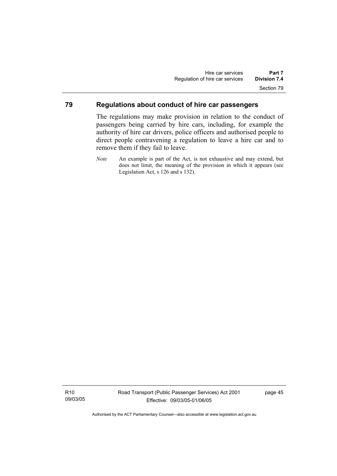# **79 Regulations about conduct of hire car passengers**

The regulations may make provision in relation to the conduct of passengers being carried by hire cars, including, for example the authority of hire car drivers, police officers and authorised people to direct people contravening a regulation to leave a hire car and to remove them if they fail to leave.

R10 09/03/05 page 45

*Note* An example is part of the Act, is not exhaustive and may extend, but does not limit, the meaning of the provision in which it appears (see Legislation Act, s 126 and s 132).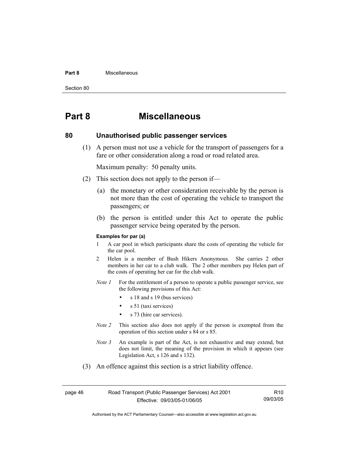#### **Part 8** Miscellaneous

Section 80

# **Part 8 Miscellaneous**

# **80 Unauthorised public passenger services**

 (1) A person must not use a vehicle for the transport of passengers for a fare or other consideration along a road or road related area.

Maximum penalty: 50 penalty units.

- (2) This section does not apply to the person if—
	- (a) the monetary or other consideration receivable by the person is not more than the cost of operating the vehicle to transport the passengers; or
	- (b) the person is entitled under this Act to operate the public passenger service being operated by the person.

#### **Examples for par (a)**

- 1 A car pool in which participants share the costs of operating the vehicle for the car pool.
- 2 Helen is a member of Bush Hikers Anonymous. She carries 2 other members in her car to a club walk. The 2 other members pay Helen part of the costs of operating her car for the club walk.
- *Note 1* For the entitlement of a person to operate a public passenger service, see the following provisions of this Act:
	- s 18 and s 19 (bus services)
	- s 51 (taxi services)
	- s 73 (hire car services).
- *Note 2* This section also does not apply if the person is exempted from the operation of this section under s 84 or s 85.
- *Note 3* An example is part of the Act, is not exhaustive and may extend, but does not limit, the meaning of the provision in which it appears (see Legislation Act, s 126 and s 132).
- (3) An offence against this section is a strict liability offence.

| page 46 | Road Transport (Public Passenger Services) Act 2001 |          |
|---------|-----------------------------------------------------|----------|
|         | Effective: 09/03/05-01/06/05                        | 09/03/05 |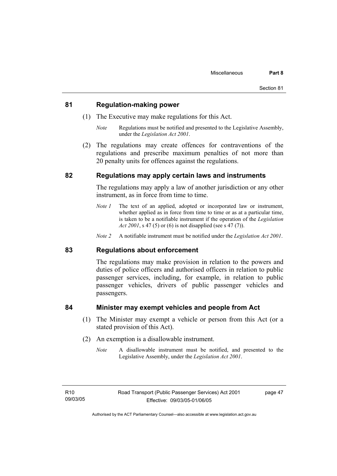## **81 Regulation-making power**

- (1) The Executive may make regulations for this Act.
	- *Note* Regulations must be notified and presented to the Legislative Assembly, under the *Legislation Act 2001*.
- (2) The regulations may create offences for contraventions of the regulations and prescribe maximum penalties of not more than 20 penalty units for offences against the regulations.

# **82 Regulations may apply certain laws and instruments**

The regulations may apply a law of another jurisdiction or any other instrument, as in force from time to time.

- *Note 1* The text of an applied, adopted or incorporated law or instrument, whether applied as in force from time to time or as at a particular time, is taken to be a notifiable instrument if the operation of the *Legislation Act 2001*, s 47 (5) or (6) is not disapplied (see s 47 (7)).
- *Note 2* A notifiable instrument must be notified under the *Legislation Act 2001*.

## **83 Regulations about enforcement**

The regulations may make provision in relation to the powers and duties of police officers and authorised officers in relation to public passenger services, including, for example, in relation to public passenger vehicles, drivers of public passenger vehicles and passengers.

# **84 Minister may exempt vehicles and people from Act**

- (1) The Minister may exempt a vehicle or person from this Act (or a stated provision of this Act).
- (2) An exemption is a disallowable instrument.
	- *Note* A disallowable instrument must be notified, and presented to the Legislative Assembly, under the *Legislation Act 2001*.

page 47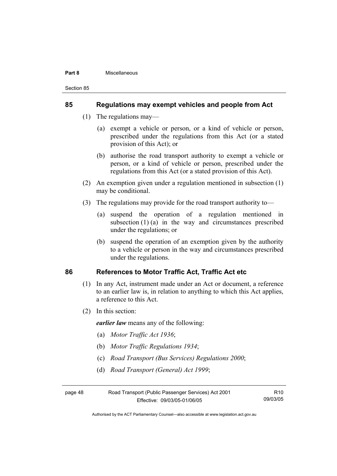#### **Part 8** Miscellaneous

Section 85

# **85 Regulations may exempt vehicles and people from Act**

- (1) The regulations may—
	- (a) exempt a vehicle or person, or a kind of vehicle or person, prescribed under the regulations from this Act (or a stated provision of this Act); or
	- (b) authorise the road transport authority to exempt a vehicle or person, or a kind of vehicle or person, prescribed under the regulations from this Act (or a stated provision of this Act).
- (2) An exemption given under a regulation mentioned in subsection (1) may be conditional.
- (3) The regulations may provide for the road transport authority to—
	- (a) suspend the operation of a regulation mentioned in subsection  $(1)$  (a) in the way and circumstances prescribed under the regulations; or
	- (b) suspend the operation of an exemption given by the authority to a vehicle or person in the way and circumstances prescribed under the regulations.

# **86 References to Motor Traffic Act, Traffic Act etc**

- (1) In any Act, instrument made under an Act or document, a reference to an earlier law is, in relation to anything to which this Act applies, a reference to this Act.
- (2) In this section:

*earlier law* means any of the following:

- (a) *Motor Traffic Act 1936*;
- (b) *Motor Traffic Regulations 1934*;
- (c) *Road Transport (Bus Services) Regulations 2000*;
- (d) *Road Transport (General) Act 1999*;

| page 48 | Road Transport (Public Passenger Services) Act 2001 |          |
|---------|-----------------------------------------------------|----------|
|         | Effective: 09/03/05-01/06/05                        | 09/03/05 |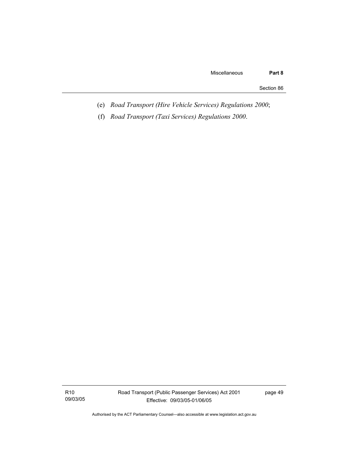Section 86

- (e) *Road Transport (Hire Vehicle Services) Regulations 2000*;
- (f) *Road Transport (Taxi Services) Regulations 2000*.

R10 09/03/05 Road Transport (Public Passenger Services) Act 2001 Effective: 09/03/05-01/06/05

page 49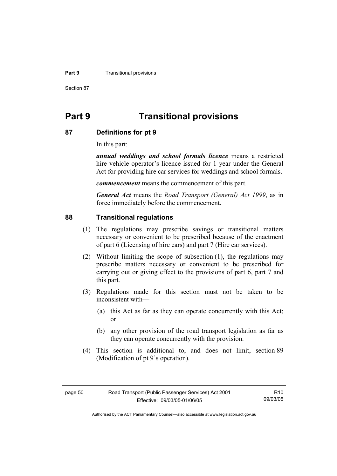#### **Part 9 Transitional provisions**

Section 87

# **Part 9 Transitional provisions**

## **87 Definitions for pt 9**

In this part:

*annual weddings and school formals licence* means a restricted hire vehicle operator's licence issued for 1 year under the General Act for providing hire car services for weddings and school formals.

*commencement* means the commencement of this part.

*General Act* means the *Road Transport (General) Act 1999*, as in force immediately before the commencement.

## **88 Transitional regulations**

- (1) The regulations may prescribe savings or transitional matters necessary or convenient to be prescribed because of the enactment of part 6 (Licensing of hire cars) and part 7 (Hire car services).
- (2) Without limiting the scope of subsection (1), the regulations may prescribe matters necessary or convenient to be prescribed for carrying out or giving effect to the provisions of part 6, part 7 and this part.
- (3) Regulations made for this section must not be taken to be inconsistent with—
	- (a) this Act as far as they can operate concurrently with this Act; or
	- (b) any other provision of the road transport legislation as far as they can operate concurrently with the provision.
- (4) This section is additional to, and does not limit, section 89 (Modification of pt 9's operation).

R10 09/03/05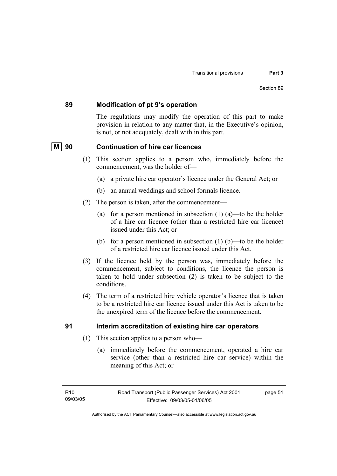# **89 Modification of pt 9's operation**

The regulations may modify the operation of this part to make provision in relation to any matter that, in the Executive's opinion, is not, or not adequately, dealt with in this part.

# **M** 90 Continuation of hire car licences

- (1) This section applies to a person who, immediately before the commencement, was the holder of—
	- (a) a private hire car operator's licence under the General Act; or
	- (b) an annual weddings and school formals licence.
- (2) The person is taken, after the commencement—
	- (a) for a person mentioned in subsection  $(1)$   $(a)$ —to be the holder of a hire car licence (other than a restricted hire car licence) issued under this Act; or
	- (b) for a person mentioned in subsection  $(1)$  (b)—to be the holder of a restricted hire car licence issued under this Act.
- (3) If the licence held by the person was, immediately before the commencement, subject to conditions, the licence the person is taken to hold under subsection (2) is taken to be subject to the conditions.
- (4) The term of a restricted hire vehicle operator's licence that is taken to be a restricted hire car licence issued under this Act is taken to be the unexpired term of the licence before the commencement.

# **91 Interim accreditation of existing hire car operators**

- (1) This section applies to a person who—
	- (a) immediately before the commencement, operated a hire car service (other than a restricted hire car service) within the meaning of this Act; or

page 51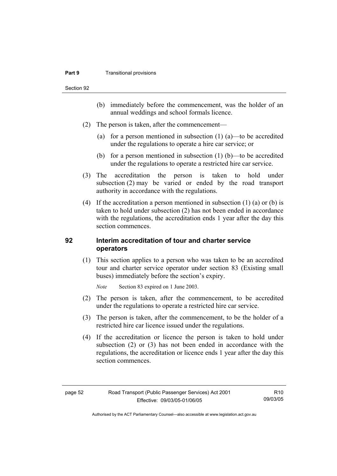#### **Part 9 Transitional provisions**

Section 92

- (b) immediately before the commencement, was the holder of an annual weddings and school formals licence.
- (2) The person is taken, after the commencement—
	- (a) for a person mentioned in subsection (1) (a)—to be accredited under the regulations to operate a hire car service; or
	- (b) for a person mentioned in subsection  $(1)$  (b)—to be accredited under the regulations to operate a restricted hire car service.
- (3) The accreditation the person is taken to hold under subsection (2) may be varied or ended by the road transport authority in accordance with the regulations.
- (4) If the accreditation a person mentioned in subsection (1) (a) or (b) is taken to hold under subsection (2) has not been ended in accordance with the regulations, the accreditation ends 1 year after the day this section commences.

# **92 Interim accreditation of tour and charter service operators**

 (1) This section applies to a person who was taken to be an accredited tour and charter service operator under section 83 (Existing small buses) immediately before the section's expiry.

*Note* Section 83 expired on 1 June 2003.

- (2) The person is taken, after the commencement, to be accredited under the regulations to operate a restricted hire car service.
- (3) The person is taken, after the commencement, to be the holder of a restricted hire car licence issued under the regulations.
- (4) If the accreditation or licence the person is taken to hold under subsection (2) or (3) has not been ended in accordance with the regulations, the accreditation or licence ends 1 year after the day this section commences.

R10 09/03/05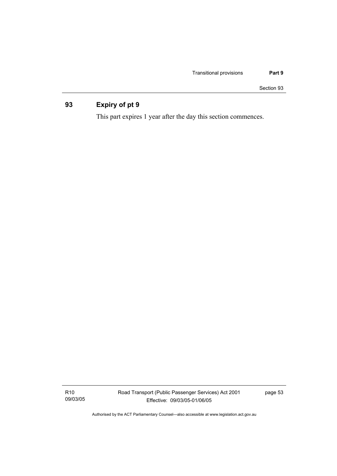Section 93

# **93 Expiry of pt 9**

This part expires 1 year after the day this section commences.

R10 09/03/05 Road Transport (Public Passenger Services) Act 2001 Effective: 09/03/05-01/06/05

page 53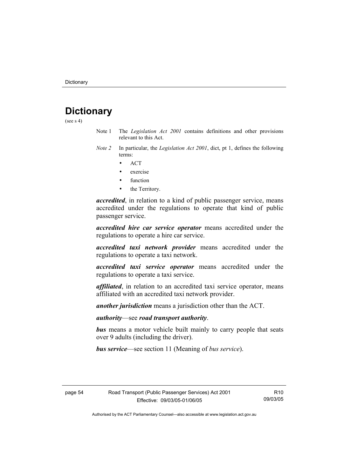# **Dictionary**

(see  $s$  4)

- Note 1 The *Legislation Act 2001* contains definitions and other provisions relevant to this Act.
- *Note 2* In particular, the *Legislation Act 2001*, dict, pt 1, defines the following terms:
	- ACT
	- exercise
	- **function**
	- the Territory.

*accredited*, in relation to a kind of public passenger service, means accredited under the regulations to operate that kind of public passenger service.

*accredited hire car service operator* means accredited under the regulations to operate a hire car service.

*accredited taxi network provider* means accredited under the regulations to operate a taxi network.

*accredited taxi service operator* means accredited under the regulations to operate a taxi service.

*affiliated*, in relation to an accredited taxi service operator, means affiliated with an accredited taxi network provider.

*another jurisdiction* means a jurisdiction other than the ACT.

*authority*—see *road transport authority*.

*bus* means a motor vehicle built mainly to carry people that seats over 9 adults (including the driver).

*bus service*—see section 11 (Meaning of *bus service*).

R10 09/03/05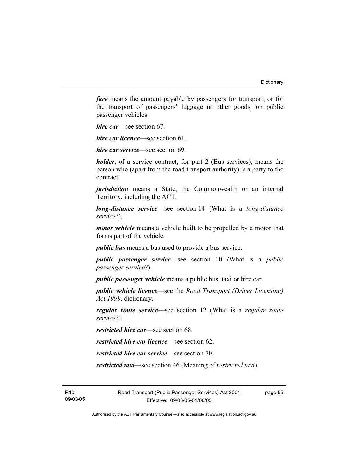*fare* means the amount payable by passengers for transport, or for the transport of passengers' luggage or other goods, on public passenger vehicles.

*hire car*—see section 67.

*hire car licence*—see section 61.

*hire car service*—see section 69.

*holder*, of a service contract, for part 2 (Bus services), means the person who (apart from the road transport authority) is a party to the contract.

*jurisdiction* means a State, the Commonwealth or an internal Territory, including the ACT.

*long-distance service*—see section 14 (What is a *long-distance service*?).

*motor vehicle* means a vehicle built to be propelled by a motor that forms part of the vehicle.

*public bus* means a bus used to provide a bus service.

*public passenger service*—see section 10 (What is a *public passenger service*?).

*public passenger vehicle* means a public bus, taxi or hire car.

*public vehicle licence*—see the *Road Transport (Driver Licensing) Act 1999*, dictionary.

*regular route service*—see section 12 (What is a *regular route service*?).

*restricted hire car*—see section 68.

*restricted hire car licence*—see section 62.

*restricted hire car service*—see section 70.

*restricted taxi*—see section 46 (Meaning of *restricted taxi*).

R10 09/03/05 Road Transport (Public Passenger Services) Act 2001 Effective: 09/03/05-01/06/05

page 55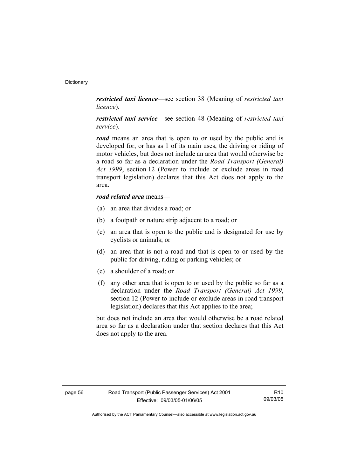*restricted taxi licence*—see section 38 (Meaning of *restricted taxi licence*).

*restricted taxi service*—see section 48 (Meaning of *restricted taxi service*).

*road* means an area that is open to or used by the public and is developed for, or has as 1 of its main uses, the driving or riding of motor vehicles, but does not include an area that would otherwise be a road so far as a declaration under the *Road Transport (General) Act 1999*, section 12 (Power to include or exclude areas in road transport legislation) declares that this Act does not apply to the area.

# *road related area* means—

- (a) an area that divides a road; or
- (b) a footpath or nature strip adjacent to a road; or
- (c) an area that is open to the public and is designated for use by cyclists or animals; or
- (d) an area that is not a road and that is open to or used by the public for driving, riding or parking vehicles; or
- (e) a shoulder of a road; or
- (f) any other area that is open to or used by the public so far as a declaration under the *Road Transport (General) Act 1999*, section 12 (Power to include or exclude areas in road transport legislation) declares that this Act applies to the area;

but does not include an area that would otherwise be a road related area so far as a declaration under that section declares that this Act does not apply to the area.

R10 09/03/05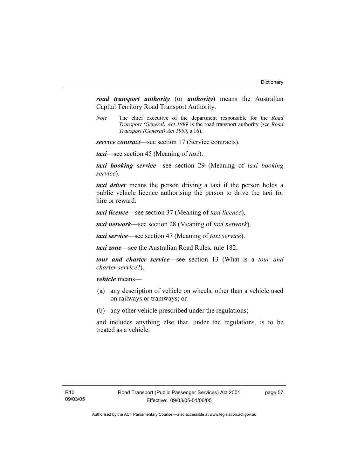*road transport authority* (or *authority*) means the Australian Capital Territory Road Transport Authority.

*Note* The chief executive of the department responsible for the *Road Transport (General) Act 1999* is the road transport authority (see *Road Transport (General) Act 1999*, s 16).

*service contract*—see section 17 (Service contracts).

*taxi*—see section 45 (Meaning of *taxi*).

*taxi booking service*—see section 29 (Meaning of *taxi booking service*).

*taxi driver* means the person driving a taxi if the person holds a public vehicle licence authorising the person to drive the taxi for hire or reward.

*taxi licence*—see section 37 (Meaning of *taxi licence*).

*taxi network*—see section 28 (Meaning of *taxi network*).

*taxi service*—see section 47 (Meaning of *taxi service*).

*taxi zone*—see the Australian Road Rules, rule 182.

*tour and charter service*—see section 13 (What is a *tour and charter service*?).

*vehicle* means—

- (a) any description of vehicle on wheels, other than a vehicle used on railways or tramways; or
- (b) any other vehicle prescribed under the regulations;

and includes anything else that, under the regulations, is to be treated as a vehicle.

page 57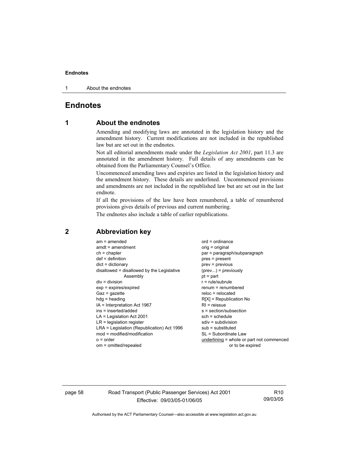1 About the endnotes

# **Endnotes**

# **1 About the endnotes**

Amending and modifying laws are annotated in the legislation history and the amendment history. Current modifications are not included in the republished law but are set out in the endnotes.

Not all editorial amendments made under the *Legislation Act 2001*, part 11.3 are annotated in the amendment history. Full details of any amendments can be obtained from the Parliamentary Counsel's Office.

Uncommenced amending laws and expiries are listed in the legislation history and the amendment history. These details are underlined. Uncommenced provisions and amendments are not included in the republished law but are set out in the last endnote.

If all the provisions of the law have been renumbered, a table of renumbered provisions gives details of previous and current numbering.

The endnotes also include a table of earlier republications.

| $am = amended$                             | $ord = ordinance$                         |
|--------------------------------------------|-------------------------------------------|
| $amdt = amendment$                         |                                           |
|                                            | $orig = original$                         |
| $ch = chapter$                             | par = paragraph/subparagraph              |
| $def = definition$                         | $pres = present$                          |
| $dict = dictionary$                        | $prev = previous$                         |
| disallowed = disallowed by the Legislative | $(\text{prev}) = \text{previously}$       |
| Assembly                                   | $pt = part$                               |
| $div = division$                           | $r = rule/subrule$                        |
| $exp = expires/expired$                    | renum = renumbered                        |
| $Gaz = gazette$                            | $reloc = relocated$                       |
| $hdg =$ heading                            | $R[X]$ = Republication No                 |
| IA = Interpretation Act 1967               | $RI =$ reissue                            |
| ins = inserted/added                       | $s = section/subsection$                  |
| $LA =$ Legislation Act 2001                | $sch = schedule$                          |
| $LR =$ legislation register                | $sdiv = subdivision$                      |
| LRA = Legislation (Republication) Act 1996 | $sub =$ substituted                       |
| $mod = modified/modification$              | SL = Subordinate Law                      |
| $o = order$                                | underlining = whole or part not commenced |
| om = omitted/repealed                      | or to be expired                          |
|                                            |                                           |

# **2 Abbreviation key**

page 58 Road Transport (Public Passenger Services) Act 2001 Effective: 09/03/05-01/06/05

R10 09/03/05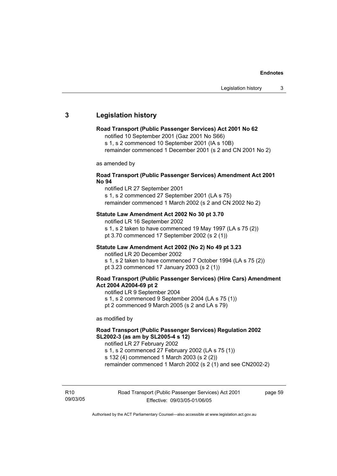# **3 Legislation history**

#### **Road Transport (Public Passenger Services) Act 2001 No 62**

notified 10 September 2001 (Gaz 2001 No S66)

s 1, s 2 commenced 10 September 2001 (IA s 10B)

remainder commenced 1 December 2001 (s 2 and CN 2001 No 2)

as amended by

#### **Road Transport (Public Passenger Services) Amendment Act 2001 No 94**

notified LR 27 September 2001

s 1, s 2 commenced 27 September 2001 (LA s 75) remainder commenced 1 March 2002 (s 2 and CN 2002 No 2)

#### **Statute Law Amendment Act 2002 No 30 pt 3.70**

notified LR 16 September 2002 s 1, s 2 taken to have commenced 19 May 1997 (LA s 75 (2)) pt 3.70 commenced 17 September 2002 (s 2 (1))

### **Statute Law Amendment Act 2002 (No 2) No 49 pt 3.23**

notified LR 20 December 2002

s 1, s 2 taken to have commenced 7 October 1994 (LA s 75 (2)) pt 3.23 commenced 17 January 2003 (s 2 (1))

## **Road Transport (Public Passenger Services) (Hire Cars) Amendment Act 2004 A2004-69 pt 2**

notified LR 9 September 2004

s 1, s 2 commenced 9 September 2004 (LA s 75 (1))

pt 2 commenced 9 March 2005 (s 2 and LA s 79)

as modified by

# **Road Transport (Public Passenger Services) Regulation 2002 SL2002-3 (as am by SL2005-4 s 12)**

notified LR 27 February 2002

s 1, s 2 commenced 27 February 2002 (LA s 75 (1)) s 132 (4) commenced 1 March 2003 (s 2 (2))

remainder commenced 1 March 2002 (s 2 (1) and see CN2002-2)

R10 09/03/05 page 59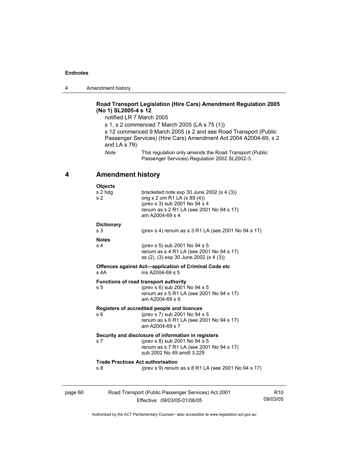4 Amendment history

# **Road Transport Legislation (Hire Cars) Amendment Regulation 2005 (No 1) SL2005-4 s 12**

notified LR 7 March 2005

s 1, s 2 commenced 7 March 2005 (LA s 75 (1)) s 12 commenced 9 March 2005 (s 2 and see Road Transport (Public Passenger Services) (Hire Cars) Amendment Act 2004 A2004-69, s 2 and LA s 79) *Note* This regulation only amends the Road Transport (Public Passenger Services) Regulation 2002 SL2002-3.

# **4 Amendment history**

|         | <b>Objects</b>                                             |                                                                                                                                                                             |                             |
|---------|------------------------------------------------------------|-----------------------------------------------------------------------------------------------------------------------------------------------------------------------------|-----------------------------|
|         | s 2 hdg<br>s <sub>2</sub>                                  | bracketed note $exp 30$ June 2002 (s 4 (3))<br>orig s 2 om R1 LA (s 89 (4))<br>(prev s 3) sub 2001 No 94 s 4<br>renum as s 2 R1 LA (see 2001 No 94 s 17)<br>am A2004-69 s 4 |                             |
|         | <b>Dictionary</b><br>s <sub>3</sub>                        | (prev s 4) renum as s 3 R1 LA (see 2001 No 94 s 17)                                                                                                                         |                             |
|         | <b>Notes</b><br>s <sub>4</sub>                             | (prev s 5) sub 2001 No 94 s 5<br>renum as s 4 R1 LA (see 2001 No 94 s 17)<br>ss (2), (3) exp 30 June 2002 (s 4 (3))                                                         |                             |
|         | $s$ 4A                                                     | Offences against Act-application of Criminal Code etc<br>ins A2004-69 s 5                                                                                                   |                             |
|         | s <sub>5</sub>                                             | Functions of road transport authority<br>(prev s 6) sub 2001 No 94 s 5<br>renum as s 5 R1 LA (see 2001 No 94 s 17)<br>am A2004-69 s 6                                       |                             |
|         | s 6                                                        | Registers of accredited people and licences<br>(prev s 7) sub 2001 No 94 s 5<br>renum as s 6 R1 LA (see 2001 No 94 s 17)<br>am A2004-69 s 7                                 |                             |
|         | s <sub>7</sub>                                             | Security and disclosure of information in registers<br>(prev s 8) sub 2001 No 94 s 5<br>renum as s 7 R1 LA (see 2001 No 94 s 17)<br>sub 2002 No 49 amdt 3.229               |                             |
|         | <b>Trade Practices Act authorisation</b><br>s <sub>8</sub> | (prev s 9) renum as s 8 R1 LA (see 2001 No 94 s 17)                                                                                                                         |                             |
| page 60 |                                                            | Road Transport (Public Passenger Services) Act 2001<br>Effective: 09/03/05-01/06/05                                                                                         | R <sub>10</sub><br>09/03/05 |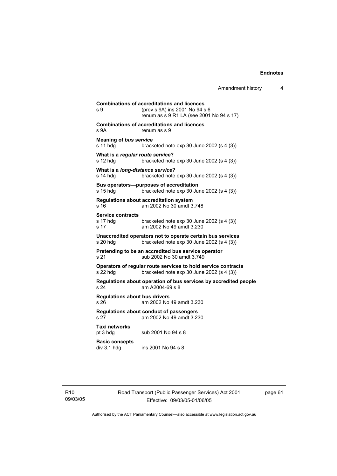```
Combinations of accreditations and licences 
s 9 (prev s 9A) ins 2001 No 94 s 6 
                 renum as s 9 R1 LA (see 2001 No 94 s 17) 
Combinations of accreditations and licences 
s 9A renum as s 9
Meaning of bus service
s 11 hdg bracketed note exp 30 June 2002 (s 4 (3)) 
What is a regular route service? 
s 12 hdg bracketed note exp 30 June 2002 (s 4 (3))
What is a long-distance service? 
s 14 hdg bracketed note exp 30 June 2002 (s 4 (3))
Bus operators—purposes of accreditation 
s 15 hdg bracketed note exp 30 June 2002 (s 4 (3))
Regulations about accreditation system 
s 16 am 2002 No 30 amdt 3.748 
Service contracts 
                bracketed note exp 30 June 2002 (s 4 (3))
s 17 am 2002 No 49 amdt 3.230 
Unaccredited operators not to operate certain bus services 
s 20 hdg bracketed note exp 30 June 2002 (s 4 (3))
Pretending to be an accredited bus service operator 
s 21 sub 2002 No 30 amdt 3.749 
Operators of regular route services to hold service contracts 
s 22 hdg bracketed note exp 30 June 2002 (s 4 (3)) 
Regulations about operation of bus services by accredited people 
s 24 am A2004-69 s 8 
Regulations about bus drivers 
s 26 am 2002 No 49 amdt 3.230 
Regulations about conduct of passengers 
s 27 am 2002 No 49 amdt 3.230 
Taxi networks 
pt 3 hdg sub 2001 No 94 s 8
Basic concepts 
div 3.1 hdg ins 2001 No 94 s 8
```
R10 09/03/05 Road Transport (Public Passenger Services) Act 2001 Effective: 09/03/05-01/06/05

page 61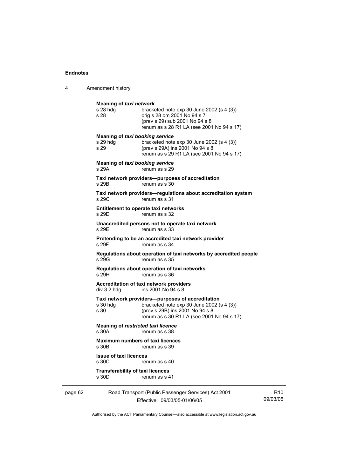4 Amendment history

|         | <b>Meaning of taxi network</b><br>$s$ 28 hdg<br>s 28       | bracketed note exp 30 June 2002 (s 4 (3))<br>orig s 28 om 2001 No 94 s 7<br>(prev s 29) sub 2001 No 94 s 8<br>renum as s 28 R1 LA (see 2001 No 94 s 17)                          |
|---------|------------------------------------------------------------|----------------------------------------------------------------------------------------------------------------------------------------------------------------------------------|
|         | <b>Meaning of taxi booking service</b><br>s 29 hdg<br>s 29 | bracketed note $exp 30$ June 2002 (s 4 (3))<br>(prev s 29A) ins 2001 No 94 s 8<br>renum as s 29 R1 LA (see 2001 No 94 s 17)                                                      |
|         | Meaning of taxi booking service<br>s 29A                   | renum as s 29                                                                                                                                                                    |
|         | s 29B                                                      | Taxi network providers--purposes of accreditation<br>renum as s 30                                                                                                               |
|         | s 29C                                                      | Taxi network providers-regulations about accreditation system<br>renum as s 31                                                                                                   |
|         | s 29D                                                      | Entitlement to operate taxi networks<br>renum as s 32                                                                                                                            |
|         | s 29E                                                      | Unaccredited persons not to operate taxi network<br>renum as s 33                                                                                                                |
|         | s 29F                                                      | Pretending to be an accredited taxi network provider<br>renum as s 34                                                                                                            |
|         | s 29G                                                      | Regulations about operation of taxi networks by accredited people<br>renum as s 35                                                                                               |
|         | s 29H                                                      | Regulations about operation of taxi networks<br>renum as s 36                                                                                                                    |
|         | $div$ 3.2 hdg                                              | Accreditation of taxi network providers<br>ins 2001 No 94 s 8                                                                                                                    |
|         | $s$ 30 hdg<br>s 30                                         | Taxi network providers--purposes of accreditation<br>bracketed note $exp 30$ June 2002 (s 4 (3))<br>(prev s 29B) ins 2001 No 94 s 8<br>renum as s 30 R1 LA (see 2001 No 94 s 17) |
|         | <b>Meaning of restricted taxi licence</b><br>s 30A         | renum as s 38                                                                                                                                                                    |
|         | <b>Maximum numbers of taxi licences</b><br>s 30B           | renum as s 39                                                                                                                                                                    |
|         | <b>Issue of taxi licences</b><br>s 30C                     | renum as s 40                                                                                                                                                                    |
|         | <b>Transferability of taxi licences</b><br>s 30D           | renum as s 41                                                                                                                                                                    |
| page 62 |                                                            | Road Transport (Public Passenger Services) Act 2001                                                                                                                              |

Effective: 09/03/05-01/06/05

R10 09/03/05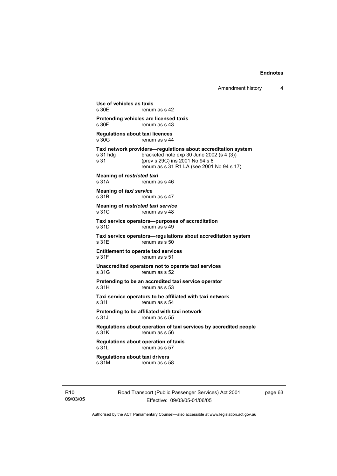**Use of vehicles as taxis**  renum as s 42 **Pretending vehicles are licensed taxis**  s 30F renum as s 43 **Regulations about taxi licences**  renum as s 44 **Taxi network providers—regulations about accreditation system**  s 31 hdg bracketed note exp 30 June 2002 (s 4 (3))<br>s 31 (prev s 29C) ins 2001 No 94 s 8 s 31 (prev s 29C) ins 2001 No 94 s 8 renum as s 31 R1 LA (see 2001 No 94 s 17) **Meaning of** *restricted taxi*  s 31A renum as s 46 **Meaning of** *taxi service*  s 31B renum as s 47 **Meaning of** *restricted taxi service*  s 31C renum as s 48 **Taxi service operators—purposes of accreditation**  s 31D renum as s 49 **Taxi service operators—regulations about accreditation system**  s 31F renum as s 50 **Entitlement to operate taxi services**  renum as s 51 **Unaccredited operators not to operate taxi services**  s 31G renum as s 52 **Pretending to be an accredited taxi service operator**  s 31H renum as s 53 **Taxi service operators to be affiliated with taxi network**  s 31I renum as s 54 **Pretending to be affiliated with taxi network**  s 31J renum as s 55 **Regulations about operation of taxi services by accredited people**  s 31K renum as s 56 **Regulations about operation of taxis**  s 31L renum as s 57 **Regulations about taxi drivers**  s 31M renum as s 58

R10 09/03/05 Road Transport (Public Passenger Services) Act 2001 Effective: 09/03/05-01/06/05

page 63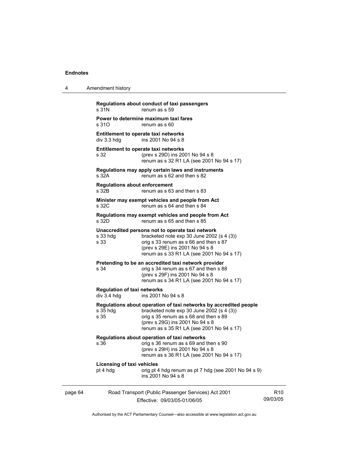| 4       | Amendment history                                                                                                                                                                                                                                              |                             |
|---------|----------------------------------------------------------------------------------------------------------------------------------------------------------------------------------------------------------------------------------------------------------------|-----------------------------|
|         | Regulations about conduct of taxi passengers<br>s 31N<br>renum as s 59                                                                                                                                                                                         |                             |
|         | Power to determine maximum taxi fares<br>s 31O<br>renum as s 60                                                                                                                                                                                                |                             |
|         | Entitlement to operate taxi networks<br>div 3.3 hdg<br>ins 2001 No 94 s 8                                                                                                                                                                                      |                             |
|         | Entitlement to operate taxi networks<br>s 32<br>(prev s 29D) ins 2001 No 94 s 8<br>renum as s 32 R1 LA (see 2001 No 94 s 17)                                                                                                                                   |                             |
|         | Regulations may apply certain laws and instruments<br>s 32A<br>renum as s 62 and then s 82                                                                                                                                                                     |                             |
|         | <b>Regulations about enforcement</b><br>renum as s 63 and then s 83<br>s 32B                                                                                                                                                                                   |                             |
|         | Minister may exempt vehicles and people from Act<br>s 32C<br>renum as s 64 and then s 84                                                                                                                                                                       |                             |
|         | Regulations may exempt vehicles and people from Act<br>renum as s 65 and then s 85<br>s 32D                                                                                                                                                                    |                             |
|         | Unaccredited persons not to operate taxi network<br>s 33 hdg<br>bracketed note $exp 30$ June 2002 (s 4 (3))<br>s 33<br>orig s 33 renum as s 66 and then s 87<br>(prev s 29E) ins 2001 No 94 s 8<br>renum as s 33 R1 LA (see 2001 No 94 s 17)                   |                             |
|         | Pretending to be an accredited taxi network provider<br>s 34<br>orig s 34 renum as s 67 and then s 88<br>(prev s 29F) ins 2001 No 94 s 8<br>renum as s 34 R1 LA (see 2001 No 94 s 17)                                                                          |                             |
|         | <b>Regulation of taxi networks</b><br>ins 2001 No 94 s 8<br>$div$ 3.4 hdg                                                                                                                                                                                      |                             |
|         | Regulations about operation of taxi networks by accredited people<br>$s35$ hdg<br>bracketed note $exp 30$ June 2002 (s 4 (3))<br>s 35<br>orig s 35 renum as s 68 and then s 89<br>(prev s 29G) ins 2001 No 94 s 8<br>renum as s 35 R1 LA (see 2001 No 94 s 17) |                             |
|         | Regulations about operation of taxi networks<br>s 36<br>orig s 36 renum as s 69 and then s 90<br>(prev s 29H) ins 2001 No 94 s 8<br>renum as s 36 R1 LA (see 2001 No 94 s 17)                                                                                  |                             |
|         | <b>Licensing of taxi vehicles</b><br>pt 4 hdg<br>orig pt 4 hdg renum as pt 7 hdg (see 2001 No 94 s 9)<br>ins 2001 No 94 s 8                                                                                                                                    |                             |
| page 64 | Road Transport (Public Passenger Services) Act 2001<br>Effective: 09/03/05-01/06/05                                                                                                                                                                            | R <sub>10</sub><br>09/03/05 |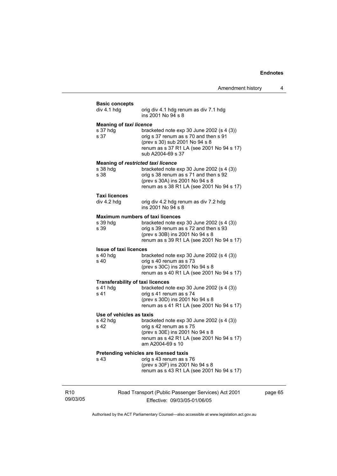|                             | <b>Basic concepts</b><br>div 4.1 hdg                          | orig div 4.1 hdg renum as div 7.1 hdg<br>ins 2001 No 94 s 8                                                                                                                                                     |
|-----------------------------|---------------------------------------------------------------|-----------------------------------------------------------------------------------------------------------------------------------------------------------------------------------------------------------------|
|                             | <b>Meaning of taxi licence</b><br>s 37 hdg<br>s 37            | bracketed note $exp 30$ June 2002 (s 4 (3))<br>orig s 37 renum as s 70 and then s 91<br>(prev s 30) sub 2001 No 94 s 8<br>renum as s 37 R1 LA (see 2001 No 94 s 17)<br>sub A2004-69 s 37                        |
|                             | <b>Meaning of restricted taxi licence</b><br>s 38 hdg<br>s 38 | bracketed note $exp 30$ June 2002 (s 4 (3))<br>orig s 38 renum as s 71 and then s 92<br>(prev s 30A) ins 2001 No 94 s 8<br>renum as s 38 R1 LA (see 2001 No 94 s 17)                                            |
|                             | Taxi licences<br>div 4.2 hdg                                  | orig div 4.2 hdg renum as div 7.2 hdg<br>ins 2001 No 94 s 8                                                                                                                                                     |
|                             | s 39 hdg<br>s 39                                              | <b>Maximum numbers of taxi licences</b><br>bracketed note $exp 30$ June 2002 (s 4 (3))<br>orig s 39 renum as s 72 and then s 93<br>(prev s 30B) ins 2001 No 94 s 8<br>renum as s 39 R1 LA (see 2001 No 94 s 17) |
|                             | <b>Issue of taxi licences</b><br>$s$ 40 hdg<br>s 40           | bracketed note $exp 30$ June 2002 (s 4 (3))<br>orig s 40 renum as s 73<br>(prev s 30C) ins 2001 No 94 s 8<br>renum as s 40 R1 LA (see 2001 No 94 s 17)                                                          |
|                             | <b>Transferability of taxi licences</b><br>s 41 hdg<br>s 41   | bracketed note $exp 30$ June 2002 (s 4 (3))<br>orig s 41 renum as s 74<br>(prev s 30D) ins 2001 No 94 s 8<br>renum as s 41 R1 LA (see 2001 No 94 s 17)                                                          |
|                             | Use of vehicles as taxis<br>s 42 hdg<br>s 42                  | bracketed note exp 30 June 2002 (s 4 (3))<br>orig s 42 renum as s 75<br>(prev s 30E) ins 2001 No 94 s 8<br>renum as s 42 R1 LA (see 2001 No 94 s 17)<br>am A2004-69 s 10                                        |
|                             | s 43                                                          | Pretending vehicles are licensed taxis<br>orig s 43 renum as s 76<br>(prev s 30F) ins 2001 No 94 s 8<br>renum as s 43 R1 LA (see 2001 No 94 s 17)                                                               |
| R <sub>10</sub><br>09/03/05 |                                                               | Road Transport (Public Passenger Services) Act 2001<br>Effective: 09/03/05-01/06/05                                                                                                                             |

page 65

Authorised by the ACT Parliamentary Counsel—also accessible at www.legislation.act.gov.au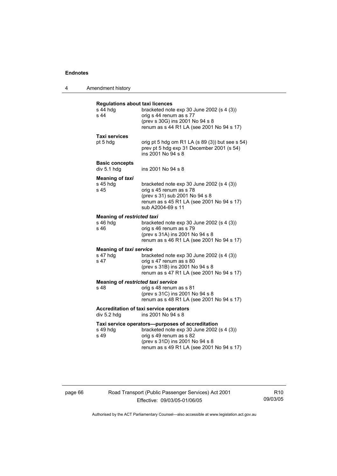| 4                                                                            | Amendment history                                          |                                                                                                                                                                                                          |
|------------------------------------------------------------------------------|------------------------------------------------------------|----------------------------------------------------------------------------------------------------------------------------------------------------------------------------------------------------------|
|                                                                              | <b>Regulations about taxi licences</b><br>s 44 hdg<br>s 44 | bracketed note $exp 30$ June 2002 (s 4 (3))<br>orig s 44 renum as s 77<br>(prev s 30G) ins 2001 No 94 s 8<br>renum as s 44 R1 LA (see 2001 No 94 s 17)                                                   |
|                                                                              | <b>Taxi services</b><br>pt 5 hdg                           | orig pt 5 hdg om R1 LA (s 89 (3)) but see s 54)<br>prev pt 5 hdg exp 31 December 2001 (s 54)<br>ins 2001 No 94 s 8                                                                                       |
|                                                                              | <b>Basic concepts</b><br>div 5.1 hdg                       | ins 2001 No 94 s 8                                                                                                                                                                                       |
|                                                                              | <b>Meaning of taxi</b><br>s 45 hdg<br>s 45                 | bracketed note $exp 30$ June 2002 (s 4 (3))<br>orig s 45 renum as s 78<br>(prev s 31) sub 2001 No 94 s 8<br>renum as s 45 R1 LA (see 2001 No 94 s 17)<br>sub A2004-69 s 11                               |
|                                                                              | <b>Meaning of restricted taxi</b><br>s 46 hdg<br>s 46      | bracketed note $exp 30$ June 2002 (s 4 (3))<br>orig s 46 renum as s 79<br>(prev s 31A) ins 2001 No 94 s 8<br>renum as s 46 R1 LA (see 2001 No 94 s 17)                                                   |
|                                                                              | <b>Meaning of taxi service</b><br>s 47 hdg<br>s 47         | bracketed note $exp 30$ June 2002 (s 4 (3))<br>orig s 47 renum as s 80<br>(prev s 31B) ins 2001 No 94 s 8<br>renum as s 47 R1 LA (see 2001 No 94 s 17)                                                   |
|                                                                              | Meaning of restricted taxi service<br>s 48                 | orig s 48 renum as s 81<br>(prev s 31C) ins 2001 No 94 s 8<br>renum as s 48 R1 LA (see 2001 No 94 s 17)                                                                                                  |
| Accreditation of taxi service operators<br>div 5.2 hdg<br>ins 2001 No 94 s 8 |                                                            |                                                                                                                                                                                                          |
|                                                                              | s 49 hdg<br>s 49                                           | Taxi service operators-purposes of accreditation<br>bracketed note exp 30 June 2002 (s 4 (3))<br>orig s 49 renum as s 82<br>(prev s 31D) ins 2001 No 94 s 8<br>renum as s 49 R1 LA (see 2001 No 94 s 17) |

page 66 Road Transport (Public Passenger Services) Act 2001 Effective: 09/03/05-01/06/05

R10 09/03/05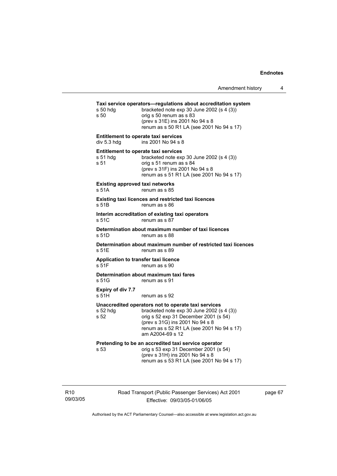| Amendment history |  |
|-------------------|--|
|-------------------|--|

| s 50 hdg<br>s 50                                | Taxi service operators-regulations about accreditation system<br>bracketed note exp 30 June 2002 (s 4 (3))<br>orig s 50 renum as s 83<br>(prev s 31E) ins 2001 No 94 s 8<br>renum as s 50 R1 LA (see 2001 No 94 s 17)                         |
|-------------------------------------------------|-----------------------------------------------------------------------------------------------------------------------------------------------------------------------------------------------------------------------------------------------|
| div 5.3 hdg                                     | <b>Entitlement to operate taxi services</b><br>ins 2001 No 94 s 8                                                                                                                                                                             |
| s 51 hdg<br>s 51                                | <b>Entitlement to operate taxi services</b><br>bracketed note exp 30 June 2002 (s 4 (3))<br>orig s 51 renum as s 84<br>(prev s 31F) ins 2001 No 94 s 8<br>renum as s 51 R1 LA (see 2001 No 94 s 17)                                           |
| <b>Existing approved taxi networks</b><br>s 51A | renum as s 85                                                                                                                                                                                                                                 |
| s 51B                                           | Existing taxi licences and restricted taxi licences<br>renum as s 86                                                                                                                                                                          |
| s 51C                                           | Interim accreditation of existing taxi operators<br>renum as s 87                                                                                                                                                                             |
| s 51D                                           | Determination about maximum number of taxi licences<br>renum as s 88                                                                                                                                                                          |
| s 51E                                           | Determination about maximum number of restricted taxi licences<br>renum as s 89                                                                                                                                                               |
| Application to transfer taxi licence<br>s 51F   | renum as s 90                                                                                                                                                                                                                                 |
| s 51G                                           | Determination about maximum taxi fares<br>renum as s 91                                                                                                                                                                                       |
| Expiry of div 7.7<br>s 51H                      | renum as s 92                                                                                                                                                                                                                                 |
| s 52 hdg<br>s 52                                | Unaccredited operators not to operate taxi services<br>bracketed note exp 30 June 2002 (s 4 (3))<br>orig s 52 exp 31 December 2001 (s 54)<br>(prev s 31G) ins 2001 No 94 s 8<br>renum as s 52 R1 LA (see 2001 No 94 s 17)<br>am A2004-69 s 12 |
| s 53                                            | Pretending to be an accredited taxi service operator<br>orig s 53 exp 31 December 2001 (s 54)<br>(prev s 31H) ins 2001 No 94 s 8<br>renum as s 53 R1 LA (see 2001 No 94 s 17)                                                                 |

R10 09/03/05 Road Transport (Public Passenger Services) Act 2001 Effective: 09/03/05-01/06/05

page 67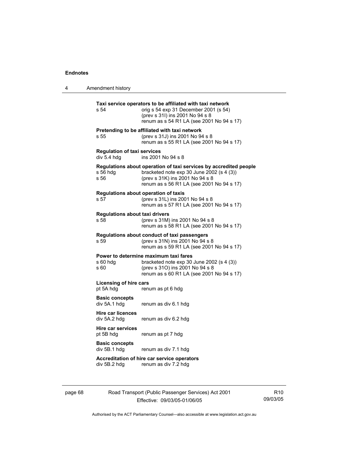| 4 | Amendment history                                 |                                                                                                                                                                                                  |
|---|---------------------------------------------------|--------------------------------------------------------------------------------------------------------------------------------------------------------------------------------------------------|
|   | s 54                                              | Taxi service operators to be affiliated with taxi network<br>orig s 54 exp 31 December 2001 (s 54)<br>(prev s 31l) ins 2001 No 94 s 8<br>renum as s 54 R1 LA (see 2001 No 94 s 17)               |
|   | s 55                                              | Pretending to be affiliated with taxi network<br>(prev s 31J) ins 2001 No 94 s 8<br>renum as s 55 R1 LA (see 2001 No 94 s 17)                                                                    |
|   | <b>Regulation of taxi services</b><br>div 5.4 hdg | ins 2001 No 94 s 8                                                                                                                                                                               |
|   | s 56 hdg<br>s 56                                  | Regulations about operation of taxi services by accredited people<br>bracketed note $exp 30$ June 2002 (s 4 (3))<br>(prev s 31K) ins 2001 No 94 s 8<br>renum as s 56 R1 LA (see 2001 No 94 s 17) |
|   | Regulations about operation of taxis<br>s 57      | (prev s 31L) ins 2001 No 94 s 8<br>renum as s 57 R1 LA (see 2001 No 94 s 17)                                                                                                                     |
|   | <b>Regulations about taxi drivers</b><br>s 58     | (prev s 31M) ins 2001 No 94 s 8<br>renum as s 58 R1 LA (see 2001 No 94 s 17)                                                                                                                     |
|   | s 59                                              | Regulations about conduct of taxi passengers<br>(prev s 31N) ins 2001 No 94 s 8<br>renum as s 59 R1 LA (see 2001 No 94 s 17)                                                                     |
|   | s 60 hdg<br>s 60                                  | Power to determine maximum taxi fares<br>bracketed note $exp 30$ June 2002 (s 4 (3))<br>(prev s 31O) ins 2001 No 94 s 8<br>renum as s 60 R1 LA (see 2001 No 94 s 17)                             |
|   | Licensing of hire cars<br>pt 5A hdg               | renum as pt 6 hdg                                                                                                                                                                                |
|   | <b>Basic concepts</b><br>div 5A.1 hdg             | renum as div 6.1 hdg                                                                                                                                                                             |
|   | <b>Hire car licences</b><br>div 5A.2 hdg          | renum as div 6.2 hdg                                                                                                                                                                             |
|   | Hire car services<br>pt 5B hdg                    | renum as pt 7 hdg                                                                                                                                                                                |
|   | <b>Basic concepts</b><br>div 5B.1 hdg             | renum as div 7.1 hdg                                                                                                                                                                             |
|   | div 5B.2 hda                                      | Accreditation of hire car service operators<br>renum as div 7.2 hdg                                                                                                                              |
|   |                                                   |                                                                                                                                                                                                  |

page 68 Road Transport (Public Passenger Services) Act 2001 Effective: 09/03/05-01/06/05

R10 09/03/05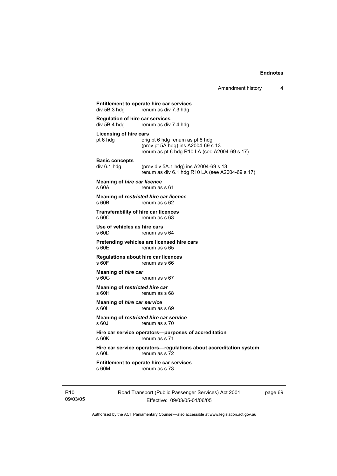| div 5B.3 hdg                                           | renum as div 7.3 hdg                                                                                                  |
|--------------------------------------------------------|-----------------------------------------------------------------------------------------------------------------------|
| <b>Requlation of hire car services</b><br>div 5B.4 hdg | renum as div 7.4 hdg                                                                                                  |
| Licensing of hire cars<br>pt 6 hdg                     | orig pt 6 hdg renum as pt 8 hdg<br>(prev pt 5A hdg) ins A2004-69 s 13<br>renum as pt 6 hdg R10 LA (see A2004-69 s 17) |
| <b>Basic concepts</b><br>div 6.1 hdg                   | (prev div 5A.1 hdg) ins A2004-69 s 13<br>renum as div 6.1 hdg R10 LA (see A2004-69 s 17)                              |
| <b>Meaning of hire car licence</b><br>s 60A            | renum as s 61                                                                                                         |
| s 60B                                                  | Meaning of restricted hire car licence<br>renum as s 62                                                               |
| s 60C                                                  | <b>Transferability of hire car licences</b><br>renum as s 63                                                          |
| Use of vehicles as hire cars<br>s 60D                  | renum as s 64                                                                                                         |
| s 60E                                                  | Pretending vehicles are licensed hire cars<br>renum as s 65                                                           |
| $s$ 60 $F$                                             | Regulations about hire car licences<br>renum as s 66                                                                  |
| Meaning of hire car<br>s 60G                           | renum as s 67                                                                                                         |
| Meaning of restricted hire car<br>$s$ 60H              | renum as s 68                                                                                                         |
| Meaning of hire car service<br>s 60I                   | renum as s 69                                                                                                         |
| s 60J                                                  | Meaning of restricted hire car service<br>renum as s 70                                                               |
| s 60K                                                  | Hire car service operators-purposes of accreditation<br>renum as s 71                                                 |
| s 60L                                                  | Hire car service operators-regulations about accreditation system<br>renum as s 72                                    |
| s 60M                                                  | <b>Entitlement to operate hire car services</b><br>renum as s 73                                                      |

R10 09/03/05 Road Transport (Public Passenger Services) Act 2001 Effective: 09/03/05-01/06/05

page 69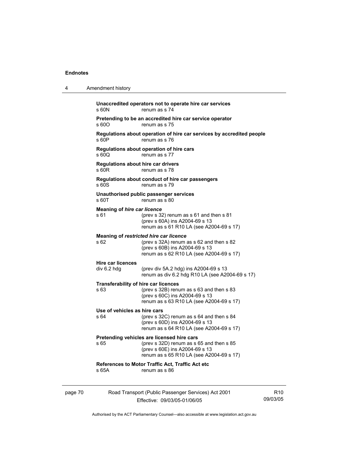| 4       | Amendment history                                                                                                                                                             |                 |
|---------|-------------------------------------------------------------------------------------------------------------------------------------------------------------------------------|-----------------|
|         | Unaccredited operators not to operate hire car services<br>s 60N<br>renum as s 74                                                                                             |                 |
|         | Pretending to be an accredited hire car service operator<br>s 60O<br>renum as s 75                                                                                            |                 |
|         | Regulations about operation of hire car services by accredited people<br>s 60P<br>renum as s 76                                                                               |                 |
|         | Regulations about operation of hire cars<br>s 60Q<br>renum as s 77                                                                                                            |                 |
|         | <b>Regulations about hire car drivers</b><br>s 60R<br>renum as s 78                                                                                                           |                 |
|         | Regulations about conduct of hire car passengers<br>s 60S<br>renum as s 79                                                                                                    |                 |
|         | Unauthorised public passenger services<br>s 60T<br>renum as s 80                                                                                                              |                 |
|         | <b>Meaning of hire car licence</b><br>s 61<br>(prev s 32) renum as s 61 and then s 81<br>(prev s 60A) ins A2004-69 s 13<br>renum as s 61 R10 LA (see A2004-69 s 17)           |                 |
|         | Meaning of restricted hire car licence<br>s 62<br>(prev s 32A) renum as s 62 and then s 82<br>(prev s 60B) ins A2004-69 s 13<br>renum as s 62 R10 LA (see A2004-69 s 17)      |                 |
|         | <b>Hire car licences</b><br>div 6.2 hdg<br>(prev div 5A.2 hdg) ins A2004-69 s 13<br>renum as div 6.2 hdg R10 LA (see A2004-69 s 17)                                           |                 |
|         | <b>Transferability of hire car licences</b><br>s 63<br>(prev s 32B) renum as s 63 and then s 83<br>(prev s 60C) ins A2004-69 s 13<br>renum as s 63 R10 LA (see A2004-69 s 17) |                 |
|         | Use of vehicles as hire cars<br>s 64<br>(prev s 32C) renum as s 64 and then s 84<br>(prev s 60D) ins A2004-69 s 13<br>renum as s 64 R10 LA (see A2004-69 s 17)                |                 |
|         | Pretending vehicles are licensed hire cars<br>(prev s 32D) renum as s 65 and then s 85<br>s 65<br>(prev s 60E) ins A2004-69 s 13<br>renum as s 65 R10 LA (see A2004-69 s 17)  |                 |
|         | References to Motor Traffic Act, Traffic Act etc<br>s 65A<br>renum as s 86                                                                                                    |                 |
| page 70 | Road Transport (Public Passenger Services) Act 2001<br>09/03/05<br>Effective: 09/03/05-01/06/05                                                                               | R <sub>10</sub> |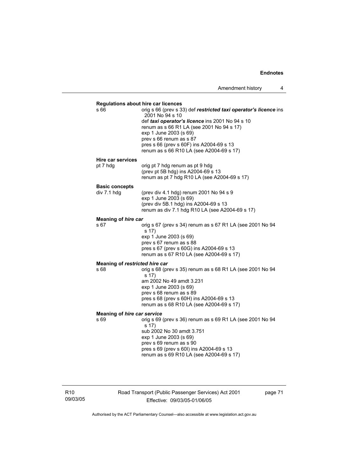| <b>Regulations about hire car licences</b><br>s 66 | orig s 66 (prev s 33) def restricted taxi operator's licence ins<br>2001 No 94 s 10<br>def taxi operator's licence ins 2001 No 94 s 10<br>renum as s 66 R1 LA (see 2001 No 94 s 17)<br>exp 1 June 2003 (s 69)<br>prev s 66 renum as s 87<br>pres s 66 (prev s 60F) ins A2004-69 s 13<br>renum as s 66 R10 LA (see A2004-69 s 17) |
|----------------------------------------------------|----------------------------------------------------------------------------------------------------------------------------------------------------------------------------------------------------------------------------------------------------------------------------------------------------------------------------------|
| <b>Hire car services</b>                           |                                                                                                                                                                                                                                                                                                                                  |
| pt 7 hdg                                           | orig pt 7 hdg renum as pt 9 hdg<br>(prev pt 5B hdg) ins A2004-69 s 13<br>renum as pt 7 hdg R10 LA (see A2004-69 s 17)                                                                                                                                                                                                            |
| <b>Basic concepts</b>                              |                                                                                                                                                                                                                                                                                                                                  |
| div 7.1 hdg                                        | (prev div 4.1 hdg) renum 2001 No 94 s 9<br>exp 1 June 2003 (s 69)<br>(prev div 5B.1 hdg) ins A2004-69 s 13<br>renum as div 7.1 hdg R10 LA (see A2004-69 s 17)                                                                                                                                                                    |
| Meaning of hire car                                |                                                                                                                                                                                                                                                                                                                                  |
| s 67                                               | orig s 67 (prev s 34) renum as s 67 R1 LA (see 2001 No 94<br>s 17)<br>exp 1 June 2003 (s 69)<br>prev s 67 renum as s 88<br>pres s 67 (prev s 60G) ins A2004-69 s 13<br>renum as s 67 R10 LA (see A2004-69 s 17)                                                                                                                  |
| Meaning of restricted hire car                     |                                                                                                                                                                                                                                                                                                                                  |
| s 68                                               | orig s 68 (prev s 35) renum as s 68 R1 LA (see 2001 No 94<br>s 17)<br>am 2002 No 49 amdt 3.231<br>exp 1 June 2003 (s 69)<br>prev s 68 renum as s 89<br>pres s 68 (prev s 60H) ins A2004-69 s 13<br>renum as s 68 R10 LA (see A2004-69 s 17)                                                                                      |
|                                                    |                                                                                                                                                                                                                                                                                                                                  |
| Meaning of hire car service<br>s 69                | orig s 69 (prev s 36) renum as s 69 R1 LA (see 2001 No 94<br>s 17)<br>sub 2002 No 30 amdt 3.751<br>exp 1 June 2003 (s 69)<br>prev s 69 renum as s 90<br>pres s 69 (prev s 60I) ins A2004-69 s 13<br>renum as s 69 R10 LA (see A2004-69 s 17)                                                                                     |

Road Transport (Public Passenger Services) Act 2001 Effective: 09/03/05-01/06/05

page 71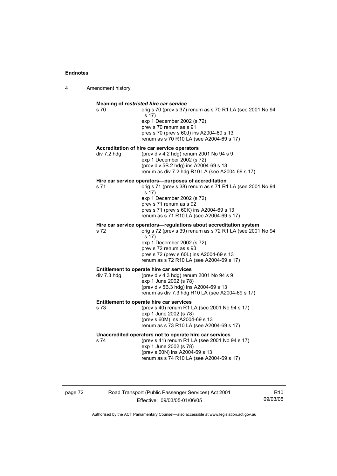4 Amendment history

| Meaning of restricted hire car service<br>s 70<br>orig s 70 (prev s 37) renum as s 70 R1 LA (see 2001 No 94 |                                                                                                                                                                   |  |
|-------------------------------------------------------------------------------------------------------------|-------------------------------------------------------------------------------------------------------------------------------------------------------------------|--|
|                                                                                                             | s 17)<br>exp 1 December 2002 (s 72)<br>prev s 70 renum as s 91<br>pres s 70 (prev s 60J) ins A2004-69 s 13<br>renum as s 70 R10 LA (see A2004-69 s 17)            |  |
|                                                                                                             | Accreditation of hire car service operators                                                                                                                       |  |
| div 7.2 hdg                                                                                                 | (prev div 4.2 hdg) renum 2001 No 94 s 9<br>exp 1 December 2002 (s 72)<br>(prev div 5B.2 hdg) ins A2004-69 s 13<br>renum as div 7.2 hdg R10 LA (see A2004-69 s 17) |  |
|                                                                                                             | Hire car service operators-purposes of accreditation                                                                                                              |  |
| s 71                                                                                                        | orig s 71 (prev s 38) renum as s 71 R1 LA (see 2001 No 94<br>s 17)<br>exp 1 December 2002 (s 72)                                                                  |  |
|                                                                                                             | prev s 71 renum as s 92<br>pres s 71 (prev s 60K) ins A2004-69 s 13<br>renum as s 71 R10 LA (see A2004-69 s 17)                                                   |  |
|                                                                                                             | Hire car service operators-regulations about accreditation system                                                                                                 |  |
| s 72                                                                                                        | orig s 72 (prev s 39) renum as s 72 R1 LA (see 2001 No 94<br>s 17)<br>exp 1 December 2002 (s 72)                                                                  |  |
|                                                                                                             | prev s 72 renum as s 93<br>pres s 72 (prev s 60L) ins A2004-69 s 13<br>renum as s 72 R10 LA (see A2004-69 s 17)                                                   |  |
|                                                                                                             | Entitlement to operate hire car services                                                                                                                          |  |
| div 7.3 hdg                                                                                                 | (prev div 4.3 hdg) renum 2001 No 94 s 9<br>exp 1 June 2002 (s 78)                                                                                                 |  |
|                                                                                                             | (prev div 5B.3 hdg) ins A2004-69 s 13<br>renum as div 7.3 hdg R10 LA (see A2004-69 s 17)                                                                          |  |
| Entitlement to operate hire car services                                                                    |                                                                                                                                                                   |  |
| s 73                                                                                                        | (prev s 40) renum R1 LA (see 2001 No 94 s 17)<br>exp 1 June 2002 (s 78)<br>(prev s 60M) ins A2004-69 s 13                                                         |  |
|                                                                                                             | renum as s 73 R10 LA (see A2004-69 s 17)                                                                                                                          |  |
| s 74                                                                                                        | Unaccredited operators not to operate hire car services<br>(prev s 41) renum R1 LA (see 2001 No 94 s 17)<br>exp 1 June 2002 (s 78)                                |  |
|                                                                                                             | (prev s 60N) ins A2004-69 s 13<br>renum as s 74 R10 LA (see A2004-69 s 17)                                                                                        |  |

## page 72 Road Transport (Public Passenger Services) Act 2001 Effective: 09/03/05-01/06/05

R10 09/03/05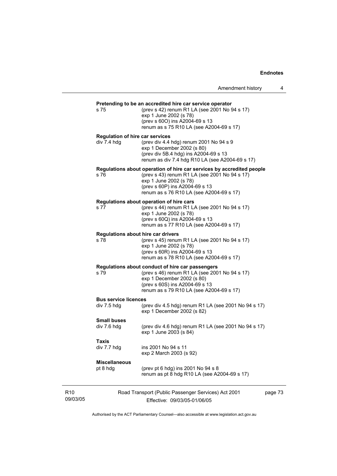|                             |                                                       | Amendment history                                                                                                                                                                                                              | 4       |
|-----------------------------|-------------------------------------------------------|--------------------------------------------------------------------------------------------------------------------------------------------------------------------------------------------------------------------------------|---------|
|                             | s 75                                                  | Pretending to be an accredited hire car service operator<br>(prev s 42) renum R1 LA (see 2001 No 94 s 17)<br>exp 1 June 2002 (s 78)<br>(prev s 600) ins A2004-69 s 13<br>renum as s 75 R10 LA (see A2004-69 s 17)              |         |
|                             | <b>Regulation of hire car services</b><br>div 7.4 hdg | (prev div 4.4 hdg) renum 2001 No 94 s 9<br>exp 1 December 2002 (s 80)<br>(prev div 5B.4 hdg) ins A2004-69 s 13<br>renum as div 7.4 hdg R10 LA (see A2004-69 s 17)                                                              |         |
|                             | s 76                                                  | Regulations about operation of hire car services by accredited people<br>(prev s 43) renum R1 LA (see 2001 No 94 s 17)<br>exp 1 June 2002 (s 78)<br>(prev s 60P) ins A2004-69 s 13<br>renum as s 76 R10 LA (see A2004-69 s 17) |         |
|                             | s 77                                                  | Regulations about operation of hire cars<br>(prev s 44) renum R1 LA (see 2001 No 94 s 17)<br>exp 1 June 2002 (s 78)<br>(prev s 60Q) ins A2004-69 s 13<br>renum as s 77 R10 LA (see A2004-69 s 17)                              |         |
|                             | s 78                                                  | Regulations about hire car drivers<br>(prev s 45) renum R1 LA (see 2001 No 94 s 17)<br>exp 1 June 2002 (s 78)<br>(prev s 60R) ins A2004-69 s 13<br>renum as s 78 R10 LA (see A2004-69 s 17)                                    |         |
|                             | s 79                                                  | Regulations about conduct of hire car passengers<br>(prev s 46) renum R1 LA (see 2001 No 94 s 17)<br>exp 1 December 2002 (s 80)<br>(prev s 60S) ins A2004-69 s 13<br>renum as s 79 R10 LA (see A2004-69 s 17)                  |         |
|                             | <b>Bus service licences</b><br>div 7.5 hdg            | (prev div 4.5 hdg) renum R1 LA (see 2001 No 94 s 17)<br>exp 1 December 2002 (s 82)                                                                                                                                             |         |
|                             | <b>Small buses</b><br>div 7.6 hdg                     | (prev div 4.6 hdg) renum R1 LA (see 2001 No 94 s 17)<br>exp 1 June 2003 (s 84)                                                                                                                                                 |         |
|                             | Taxis<br>div 7.7 hdg                                  | ins 2001 No 94 s 11<br>exp 2 March 2003 (s 92)                                                                                                                                                                                 |         |
|                             | <b>Miscellaneous</b><br>pt 8 hdg                      | (prev pt 6 hdg) ins 2001 No 94 s 8<br>renum as pt 8 hdg R10 LA (see A2004-69 s 17)                                                                                                                                             |         |
| R <sub>10</sub><br>09/03/05 |                                                       | Road Transport (Public Passenger Services) Act 2001<br>Fffective: 09/03/05-01/06/05                                                                                                                                            | page 73 |

Authorised by the ACT Parliamentary Counsel—also accessible at www.legislation.act.gov.au

Effective: 09/03/05-01/06/05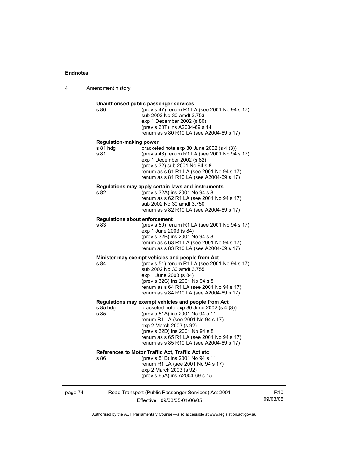|         | s 80                                               | Unauthorised public passenger services<br>(prev s 47) renum R1 LA (see 2001 No 94 s 17)<br>sub 2002 No 30 amdt 3.753<br>exp 1 December 2002 (s 80)<br>(prev s 60T) ins A2004-69 s 14<br>renum as s 80 R10 LA (see A2004-69 s 17)                                                                                                   |                             |
|---------|----------------------------------------------------|------------------------------------------------------------------------------------------------------------------------------------------------------------------------------------------------------------------------------------------------------------------------------------------------------------------------------------|-----------------------------|
|         | <b>Regulation-making power</b><br>s 81 hdg<br>s 81 | bracketed note $exp 30$ June 2002 (s 4 (3))<br>(prev s 48) renum R1 LA (see 2001 No 94 s 17)<br>exp 1 December 2002 (s 82)<br>(prev s 32) sub 2001 No 94 s 8<br>renum as s 61 R1 LA (see 2001 No 94 s 17)<br>renum as s 81 R10 LA (see A2004-69 s 17)                                                                              |                             |
|         | s 82                                               | Regulations may apply certain laws and instruments<br>(prev s 32A) ins 2001 No 94 s 8<br>renum as s 62 R1 LA (see 2001 No 94 s 17)<br>sub 2002 No 30 amdt 3.750<br>renum as s 82 R10 LA (see A2004-69 s 17)                                                                                                                        |                             |
|         | <b>Regulations about enforcement</b><br>s 83       | (prev s 50) renum R1 LA (see 2001 No 94 s 17)<br>exp 1 June 2003 (s 84)<br>(prev s 32B) ins 2001 No 94 s 8<br>renum as s 63 R1 LA (see 2001 No 94 s 17)<br>renum as s 83 R10 LA (see A2004-69 s 17)                                                                                                                                |                             |
|         | s 84                                               | Minister may exempt vehicles and people from Act<br>(prev s 51) renum R1 LA (see 2001 No 94 s 17)<br>sub 2002 No 30 amdt 3.755<br>exp 1 June 2003 (s 84)<br>(prev s 32C) ins 2001 No 94 s 8<br>renum as s 64 R1 LA (see 2001 No 94 s 17)<br>renum as s 84 R10 LA (see A2004-69 s 17)                                               |                             |
|         | s 85 hdg<br>s 85                                   | Regulations may exempt vehicles and people from Act<br>bracketed note $exp 30$ June 2002 (s 4 (3))<br>(prev s 51A) ins 2001 No 94 s 11<br>renum R1 LA (see 2001 No 94 s 17)<br>exp 2 March 2003 (s 92)<br>(prev s 32D) ins 2001 No 94 s 8<br>renum as s 65 R1 LA (see 2001 No 94 s 17)<br>renum as s 85 R10 LA (see A2004-69 s 17) |                             |
|         | s 86                                               | References to Motor Traffic Act, Traffic Act etc<br>(prev s 51B) ins 2001 No 94 s 11<br>renum R1 LA (see 2001 No 94 s 17)<br>exp 2 March 2003 (s 92)<br>(prev s 65A) ins A2004-69 s 15                                                                                                                                             |                             |
| page 74 |                                                    | Road Transport (Public Passenger Services) Act 2001<br>Effective: 09/03/05-01/06/05                                                                                                                                                                                                                                                | R <sub>10</sub><br>09/03/05 |

Authorised by the ACT Parliamentary Counsel—also accessible at www.legislation.act.gov.au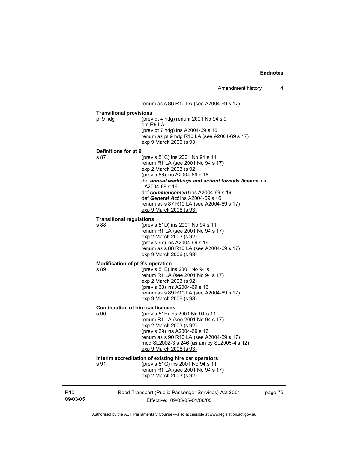|                             |                                                                    | renum as s 86 R10 LA (see A2004-69 s 17)                                                                                                                                                                                                                                                                                                                          |         |
|-----------------------------|--------------------------------------------------------------------|-------------------------------------------------------------------------------------------------------------------------------------------------------------------------------------------------------------------------------------------------------------------------------------------------------------------------------------------------------------------|---------|
|                             | <b>Transitional provisions</b><br>pt 9 hdg<br>Definitions for pt 9 | (prev pt 4 hdg) renum 2001 No 94 s 9<br>om R9 LA<br>(prev pt 7 hdg) ins A2004-69 s 16<br>renum as pt 9 hdg R10 LA (see A2004-69 s 17)<br>exp 9 March 2006 (s 93)                                                                                                                                                                                                  |         |
|                             | s 87                                                               | (prev s 51C) ins 2001 No 94 s 11<br>renum R1 LA (see 2001 No 94 s 17)<br>exp 2 March 2003 (s 92)<br>(prev s 66) ins A2004-69 s 16<br>def annual weddings and school formals licence ins<br>A2004-69 s 16<br>def commencement ins A2004-69 s 16<br>def General Act ins A2004-69 s 16<br>renum as s 87 R10 LA (see A2004-69 s 17)<br><u>exp 9 March 2006 (s 93)</u> |         |
|                             | <b>Transitional regulations</b><br>s 88                            | (prev s 51D) ins 2001 No 94 s 11<br>renum R1 LA (see 2001 No 94 s 17)<br>exp 2 March 2003 (s 92)<br>(prev s 67) ins A2004-69 s 16<br>renum as s 88 R10 LA (see A2004-69 s 17)<br>exp 9 March 2006 (s 93)                                                                                                                                                          |         |
|                             | Modification of pt 9's operation<br>s 89                           | (prev s 51E) ins 2001 No 94 s 11<br>renum R1 LA (see 2001 No 94 s 17)<br>exp 2 March 2003 (s 92)<br>(prev s 68) ins A2004-69 s 16<br>renum as s 89 R10 LA (see A2004-69 s 17)<br>exp 9 March 2006 (s 93)                                                                                                                                                          |         |
|                             | <b>Continuation of hire car licences</b><br>s 90                   | (prev s 51F) ins 2001 No 94 s 11<br>renum R1 LA (see 2001 No 94 s 17)<br>exp 2 March 2003 (s 92)<br>(prev s 69) ins A2004-69 s 16<br>renum as s 90 R10 LA (see A2004-69 s 17)<br>mod SL2002-3 s 246 (as am by SL2005-4 s 12)<br><u>exp 9 March 2006 (s 93)</u>                                                                                                    |         |
|                             | s 91                                                               | Interim accreditation of existing hire car operators<br>(prev s 51G) ins 2001 No 94 s 11<br>renum R1 LA (see 2001 No 94 s 17)<br>exp 2 March 2003 (s 92)                                                                                                                                                                                                          |         |
| R <sub>10</sub><br>09/03/05 |                                                                    | Road Transport (Public Passenger Services) Act 2001<br>Effective: 09/03/05-01/06/05                                                                                                                                                                                                                                                                               | page 75 |

Authorised by the ACT Parliamentary Counsel—also accessible at www.legislation.act.gov.au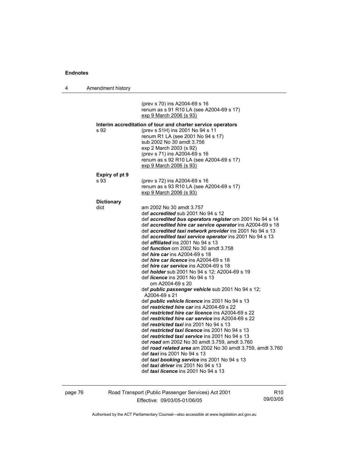| 4 | Amendment history         |                                                                                                                                                                                                                                                                                                                                                                                                                                                                                                                                                                                                                                                                                                                                                                                                                                                                                                                                                                                                                                                                                                                                                                                                                                                                                                                                                                                                                   |
|---|---------------------------|-------------------------------------------------------------------------------------------------------------------------------------------------------------------------------------------------------------------------------------------------------------------------------------------------------------------------------------------------------------------------------------------------------------------------------------------------------------------------------------------------------------------------------------------------------------------------------------------------------------------------------------------------------------------------------------------------------------------------------------------------------------------------------------------------------------------------------------------------------------------------------------------------------------------------------------------------------------------------------------------------------------------------------------------------------------------------------------------------------------------------------------------------------------------------------------------------------------------------------------------------------------------------------------------------------------------------------------------------------------------------------------------------------------------|
|   |                           | (prev s 70) ins A2004-69 s 16<br>renum as s 91 R10 LA (see A2004-69 s 17)<br>exp 9 March 2006 (s 93)                                                                                                                                                                                                                                                                                                                                                                                                                                                                                                                                                                                                                                                                                                                                                                                                                                                                                                                                                                                                                                                                                                                                                                                                                                                                                                              |
|   | s 92                      | Interim accreditation of tour and charter service operators<br>(prev s 51H) ins 2001 No 94 s 11<br>renum R1 LA (see 2001 No 94 s 17)<br>sub 2002 No 30 amdt 3.756<br>exp 2 March 2003 (s 92)<br>(prev s 71) ins A2004-69 s 16<br>renum as s 92 R10 LA (see A2004-69 s 17)<br>exp 9 March 2006 (s 93)                                                                                                                                                                                                                                                                                                                                                                                                                                                                                                                                                                                                                                                                                                                                                                                                                                                                                                                                                                                                                                                                                                              |
|   | Expiry of pt 9<br>s 93    | (prev s 72) ins A2004-69 s 16<br>renum as s 93 R10 LA (see A2004-69 s 17)<br>exp 9 March 2006 (s 93)                                                                                                                                                                                                                                                                                                                                                                                                                                                                                                                                                                                                                                                                                                                                                                                                                                                                                                                                                                                                                                                                                                                                                                                                                                                                                                              |
|   | <b>Dictionary</b><br>dict | am 2002 No 30 amdt 3.757<br>def <i>accredited</i> sub 2001 No 94 s 12<br>def accredited bus operators register om 2001 No 94 s 14<br>def accredited hire car service operator ins A2004-69 s 18<br>def accredited taxi network provider ins 2001 No 94 s 13<br>def accredited taxi service operator ins 2001 No 94 s 13<br>def <i>affiliated</i> ins 2001 No 94 s 13<br>def <i>function</i> om 2002 No 30 amdt 3.758<br>def <i>hire car</i> ins A2004-69 s 18<br>def hire car licence ins A2004-69 s 18<br>def <i>hire car service</i> ins A2004-69 s 18<br>def <i>holder</i> sub 2001 No 94 s 12; A2004-69 s 19<br>def <i>licence</i> ins 2001 No 94 s 13<br>om A2004-69 s 20<br>def <i>public passenger vehicle</i> sub 2001 No 94 s 12;<br>A2004-69 s 21<br>def <i>public</i> vehicle licence ins 2001 No 94 s 13<br>def restricted hire car ins A2004-69 s 22<br>def restricted hire car licence ins A2004-69 s 22<br>def restricted hire car service ins A2004-69 s 22<br>def restricted taxi ins 2001 No 94 s 13<br>def restricted taxi licence ins 2001 No 94 s 13<br>def restricted taxi service ins 2001 No 94 s 13<br>def road am 2002 No 30 amdt 3.759, amdt 3.760<br>def road related area am 2002 No 30 amdt 3.759, amdt 3.760<br>def <i>taxi</i> ins 2001 No 94 s 13<br>def taxi booking service ins 2001 No 94 s 13<br>def taxi driver ins 2001 No 94 s 13<br>def taxi licence ins 2001 No 94 s 13 |

page 76 Road Transport (Public Passenger Services) Act 2001 Effective: 09/03/05-01/06/05

R10 09/03/05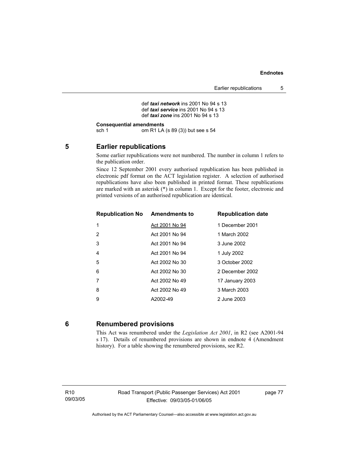```
def taxi network ins 2001 No 94 s 13 
 def taxi service ins 2001 No 94 s 13 
def taxi zone ins 2001 No 94 s 13
```
#### **Consequential amendments**

sch 1 om R1 LA (s 89 (3)) but see s 54

## **5 Earlier republications**

Some earlier republications were not numbered. The number in column 1 refers to the publication order.

Since 12 September 2001 every authorised republication has been published in electronic pdf format on the ACT legislation register. A selection of authorised republications have also been published in printed format. These republications are marked with an asterisk (\*) in column 1. Except for the footer, electronic and printed versions of an authorised republication are identical.

| <b>Republication No Amendments to</b> |                | <b>Republication date</b> |
|---------------------------------------|----------------|---------------------------|
| 1                                     | Act 2001 No 94 | 1 December 2001           |
| 2                                     | Act 2001 No 94 | 1 March 2002              |
| 3                                     | Act 2001 No 94 | 3 June 2002               |
| $\overline{4}$                        | Act 2001 No 94 | 1 July 2002               |
| 5                                     | Act 2002 No 30 | 3 October 2002            |
| 6                                     | Act 2002 No 30 | 2 December 2002           |
| 7                                     | Act 2002 No 49 | 17 January 2003           |
| 8                                     | Act 2002 No 49 | 3 March 2003              |
| 9                                     | A2002-49       | 2 June 2003               |

#### **6 Renumbered provisions**

This Act was renumbered under the *Legislation Act 2001*, in R2 (see A2001-94 s 17). Details of renumbered provisions are shown in endnote 4 (Amendment history). For a table showing the renumbered provisions, see R2.

R10 09/03/05 page 77